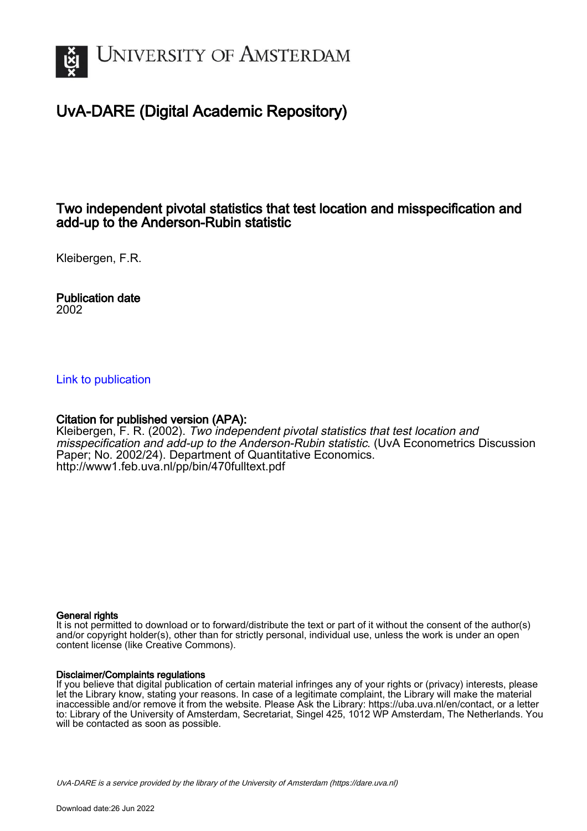

# UvA-DARE (Digital Academic Repository)

## Two independent pivotal statistics that test location and misspecification and add-up to the Anderson-Rubin statistic

Kleibergen, F.R.

Publication date 2002

## [Link to publication](https://dare.uva.nl/personal/pure/en/publications/two-independent-pivotal-statistics-that-test-location-and-misspecification-and-addup-to-the-andersonrubin-statistic(f9b0f525-ed24-4790-93c1-1e16b7e4d33f).html)

## Citation for published version (APA):

Kleibergen, F. R. (2002). Two independent pivotal statistics that test location and misspecification and add-up to the Anderson-Rubin statistic. (UvA Econometrics Discussion Paper; No. 2002/24). Department of Quantitative Economics. <http://www1.feb.uva.nl/pp/bin/470fulltext.pdf>

### General rights

It is not permitted to download or to forward/distribute the text or part of it without the consent of the author(s) and/or copyright holder(s), other than for strictly personal, individual use, unless the work is under an open content license (like Creative Commons).

## Disclaimer/Complaints regulations

If you believe that digital publication of certain material infringes any of your rights or (privacy) interests, please let the Library know, stating your reasons. In case of a legitimate complaint, the Library will make the material inaccessible and/or remove it from the website. Please Ask the Library: https://uba.uva.nl/en/contact, or a letter to: Library of the University of Amsterdam, Secretariat, Singel 425, 1012 WP Amsterdam, The Netherlands. You will be contacted as soon as possible.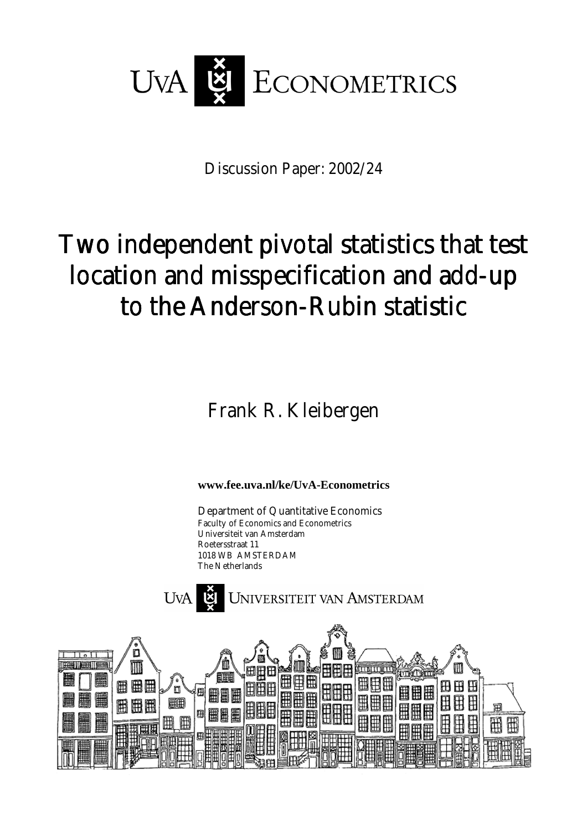

Discussion Paper: 2002/24

# Two independent pivotal statistics that test location and misspecification and add-up to the Anderson-Rubin statistic

Frank R. Kleibergen

**www.fee.uva.nl/ke/UvA-Econometrics** 

Department of Quantitative Economics Faculty of Economics and Econometrics Universiteit van Amsterdam Roetersstraat 11 1018 WB AMSTERDAM The Netherlands



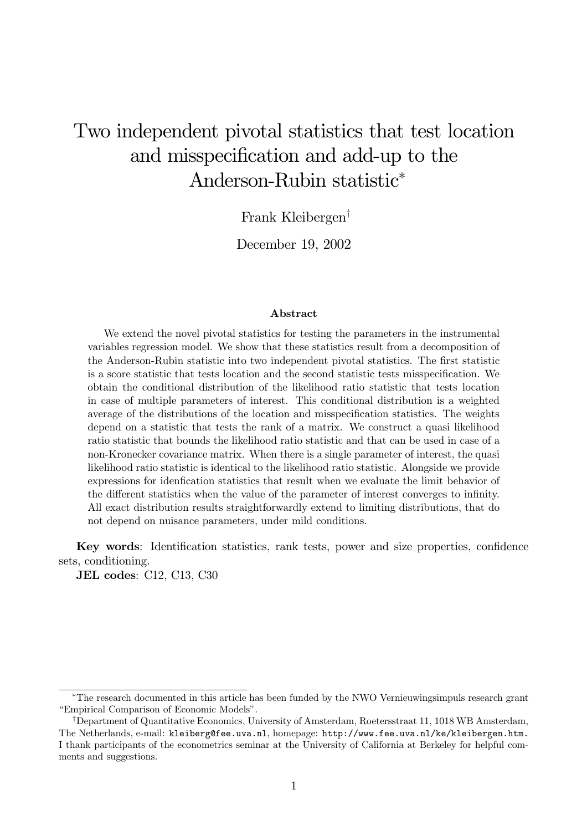# Two independent pivotal statistics that test location and misspecification and add-up to the Anderson-Rubin statistic<sup>\*</sup>

Frank Kleibergen<sup>†</sup>

December 19, 2002

### **A** bstract

We extend the novel pivotal statistics for testing the parameters in the instrumental variables regression model. We show that these statistics result from a decomposition of the Anderson-Rubin statistic into two independent pivotal statistics. The first statistic is a score statistic that tests location and the second statistic tests misspecification. We obtain the conditional distribution of the likelihood ratio statistic that tests location in case of multiple parameters of interest. This conditional distribution is a weighted average of the distributions of the location and misspecification statistics. The weights depend on a statistic that tests the rank of a matrix. We construct a quasi likelihood ratio statistic that bounds the likelihood ratio statistic and that can be used in case of a non-Kronecker covariance matrix. When there is a single parameter of interest, the quasi likelihood ratio statistic is identical to the likelihood ratio statistic. Alongside we provide expressions for idenfication statistics that result when we evaluate the limit behavior of the different statistics when the value of the parameter of interest converges to infinity. All exact distribution results straightforwardly extend to limiting distributions, that do not depend on nuisance parameters, under mild conditions.

Key words: Identification statistics, rank tests, power and size properties, confidence sets, conditioning.

JEL codes:  $C12$ ,  $C13$ ,  $C30$ 

<sup>\*</sup>The research documented in this article has been funded by the NWO Vernieuwing simpuls research grant "Empirical Comparison of Economic Models".

<sup>&</sup>lt;sup>†</sup>Department of Quantitative Economics, University of Amsterdam, Roetersstraat 11, 1018 WB Amsterdam, The Netherlands, e-mail: kleiberg@fee.uva.nl, homepage: http://www.fee.uva.nl/ke/kleibergen.htm. I thank participants of the econometrics seminar at the University of California at Berkeley for helpful comments and suggestions.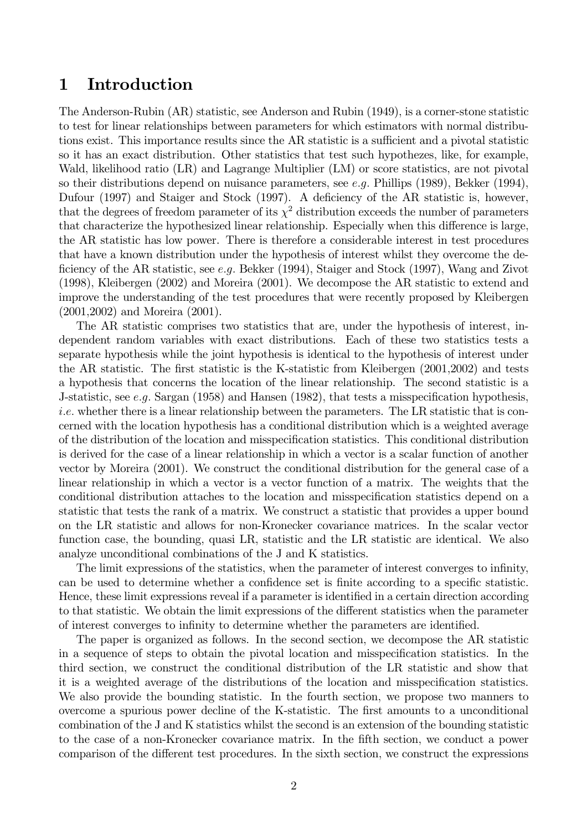#### Introduction  $\mathbf 1$

The Anderson-Rubin (AR) statistic, see Anderson and Rubin (1949), is a corner-stone statistic to test for linear relationships between parameters for which estimators with normal distributions exist. This importance results since the AR statistic is a sufficient and a pivotal statistic so it has an exact distribution. Other statistics that test such hypothezes, like, for example, Wald, likelihood ratio (LR) and Lagrange Multiplier (LM) or score statistics, are not pivotal so their distributions depend on nuisance parameters, see e.g. Phillips (1989), Bekker (1994), Dufour (1997) and Staiger and Stock (1997). A deficiency of the AR statistic is, however, that the degrees of freedom parameter of its  $\chi^2$  distribution exceeds the number of parameters that characterize the hypothesized linear relationship. Especially when this difference is large, the AR statistic has low power. There is therefore a considerable interest in test procedures that have a known distribution under the hypothesis of interest whilst they overcome the deficiency of the AR statistic, see  $e.g.$  Bekker (1994), Staiger and Stock (1997), Wang and Zivot  $(1998)$ , Kleibergen  $(2002)$  and Moreira  $(2001)$ . We decompose the AR statistic to extend and improve the understanding of the test procedures that were recently proposed by Kleibergen  $(2001, 2002)$  and Moreira  $(2001)$ .

The AR statistic comprises two statistics that are, under the hypothesis of interest, independent random variables with exact distributions. Each of these two statistics tests a separate hypothesis while the joint hypothesis is identical to the hypothesis of interest under the AR statistic. The first statistic is the K-statistic from Kleibergen (2001,2002) and tests a hypothesis that concerns the location of the linear relationship. The second statistic is a J-statistic, see e.g. Sargan (1958) and Hansen (1982), that tests a misspecification hypothesis, *i.e.* whether there is a linear relationship between the parameters. The LR statistic that is concerned with the location hypothesis has a conditional distribution which is a weighted average of the distribution of the location and misspecification statistics. This conditional distribution is derived for the case of a linear relationship in which a vector is a scalar function of another vector by Moreira (2001). We construct the conditional distribution for the general case of a linear relationship in which a vector is a vector function of a matrix. The weights that the conditional distribution attaches to the location and misspecification statistics depend on a statistic that tests the rank of a matrix. We construct a statistic that provides a upper bound on the LR statistic and allows for non-Kronecker covariance matrices. In the scalar vector function case, the bounding, quasi LR, statistic and the LR statistic are identical. We also analyze unconditional combinations of the J and K statistics.

The limit expressions of the statistics, when the parameter of interest converges to infinity, can be used to determine whether a confidence set is finite according to a specific statistic. Hence, these limit expressions reveal if a parameter is identified in a certain direction according to that statistic. We obtain the limit expressions of the different statistics when the parameter of interest converges to infinity to determine whether the parameters are identified.

The paper is organized as follows. In the second section, we decompose the AR statistic in a sequence of steps to obtain the pivotal location and misspecification statistics. In the third section, we construct the conditional distribution of the LR statistic and show that it is a weighted average of the distributions of the location and misspecification statistics. We also provide the bounding statistic. In the fourth section, we propose two manners to overcome a spurious power decline of the K-statistic. The first amounts to a unconditional combination of the J and K statistics whilst the second is an extension of the bounding statistic to the case of a non-Kronecker covariance matrix. In the fifth section, we conduct a power comparison of the different test procedures. In the sixth section, we construct the expressions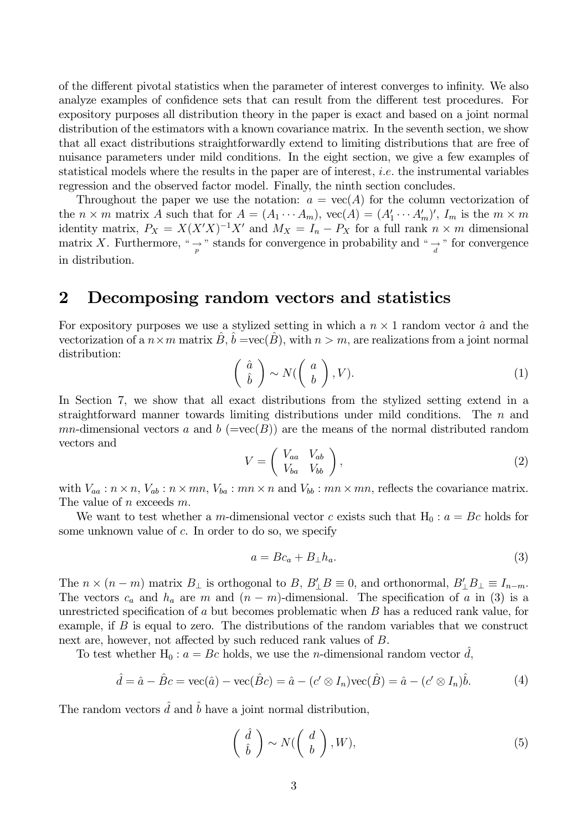of the different pivotal statistics when the parameter of interest converges to infinity. We also analyze examples of confidence sets that can result from the different test procedures. For expository purposes all distribution theory in the paper is exact and based on a joint normal distribution of the estimators with a known covariance matrix. In the seventh section, we show that all exact distributions straightforwardly extend to limiting distributions that are free of nuisance parameters under mild conditions. In the eight section, we give a few examples of statistical models where the results in the paper are of interest, *i.e.* the instrumental variables regression and the observed factor model. Finally, the ninth section concludes.

Throughout the paper we use the notation:  $a = \text{vec}(A)$  for the column vectorization of the  $n \times m$  matrix A such that for  $A = (A_1 \cdots A_m)$ ,  $vec(A) = (A'_1 \cdots A'_m)'$ ,  $I_m$  is the  $m \times m$ identity matrix,  $P_X = X(X'X)^{-1}X'$  and  $M_X = I_n - P_X$  for a full rank  $n \times m$  dimensional matrix X. Furthermore, "  $\rightarrow$  " stands for convergence in probability and "  $\rightarrow$  " for convergence in distribution.

#### $\overline{2}$ Decomposing random vectors and statistics

For expository purposes we use a stylized setting in which a  $n \times 1$  random vector  $\hat{a}$  and the vectorization of a  $n \times m$  matrix  $\hat{B}$ ,  $\hat{b} = \text{vec}(\hat{B})$ , with  $n > m$ , are realizations from a joint normal distribution:

$$
\left(\begin{array}{c}\hat{a} \\ \hat{b}\end{array}\right) \sim N(\left(\begin{array}{c}a \\ b\end{array}\right), V). \tag{1}
$$

In Section 7, we show that all exact distributions from the stylized setting extend in a straightforward manner towards limiting distributions under mild conditions. The  $n$  and mn-dimensional vectors a and b ( $=\text{vec}(B)$ ) are the means of the normal distributed random vectors and

$$
V = \left(\begin{array}{cc} V_{aa} & V_{ab} \\ V_{ba} & V_{bb} \end{array}\right),\tag{2}
$$

with  $V_{aa}: n \times n$ ,  $V_{ab}: n \times mn$ ,  $V_{ba}: mn \times n$  and  $V_{bb}: mn \times mn$ , reflects the covariance matrix. The value of *n* exceeds  $m$ .

We want to test whether a m-dimensional vector c exists such that  $H_0: a = Bc$  holds for some unknown value of  $c$ . In order to do so, we specify

$$
a = Bc_a + B_\perp h_a. \tag{3}
$$

The  $n \times (n-m)$  matrix  $B_{\perp}$  is orthogonal to  $B, B'_{\perp}B \equiv 0$ , and orthonormal,  $B'_{\perp}B_{\perp} \equiv I_{n-m}$ . The vectors  $c_a$  and  $h_a$  are m and  $(n-m)$ -dimensional. The specification of a in (3) is a unrestricted specification of  $a$  but becomes problematic when  $B$  has a reduced rank value, for example, if  $B$  is equal to zero. The distributions of the random variables that we construct next are, however, not affected by such reduced rank values of  $B$ .

To test whether H<sub>0</sub>:  $a = Bc$  holds, we use the *n*-dimensional random vector d,

$$
\hat{d} = \hat{a} - \hat{B}c = \text{vec}(\hat{a}) - \text{vec}(\hat{B}c) = \hat{a} - (c' \otimes I_n)\text{vec}(\hat{B}) = \hat{a} - (c' \otimes I_n)\hat{b}.
$$
 (4)

The random vectors  $\hat{d}$  and  $\hat{b}$  have a joint normal distribution,

$$
\left(\begin{array}{c}\hat{d} \\ \hat{b}\end{array}\right) \sim N(\left(\begin{array}{c}d \\ b\end{array}\right), W),\tag{5}
$$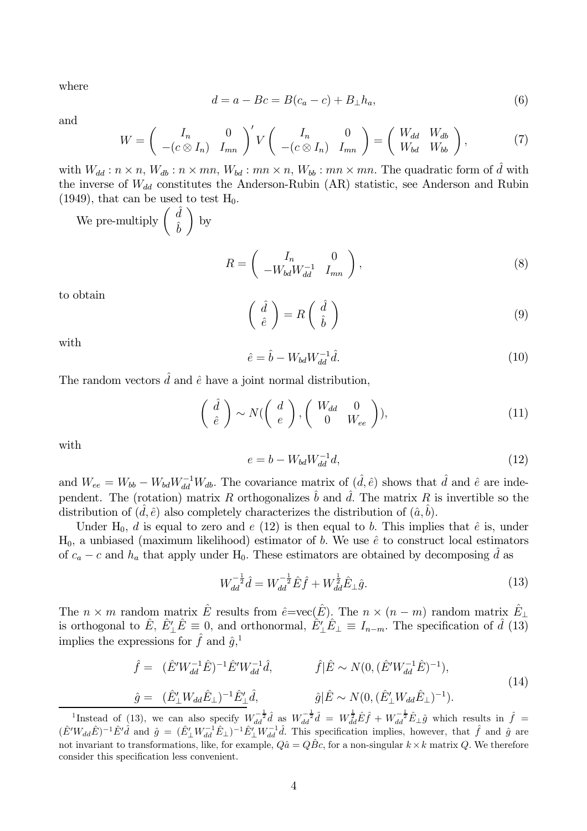where

$$
d = a - Bc = B(c_a - c) + B_\perp h_a,\tag{6}
$$

and

$$
W = \begin{pmatrix} I_n & 0 \\ -(c \otimes I_n) & I_{mn} \end{pmatrix}' V \begin{pmatrix} I_n & 0 \\ -(c \otimes I_n) & I_{mn} \end{pmatrix} = \begin{pmatrix} W_{dd} & W_{db} \\ W_{bd} & W_{bb} \end{pmatrix}, \tag{7}
$$

with  $W_{dd}$ :  $n \times n$ ,  $W_{db}$ :  $n \times mn$ ,  $W_{bd}$ :  $mn \times n$ ,  $W_{bb}$ :  $mn \times mn$ . The quadratic form of  $\tilde{d}$  with the inverse of  $W_{dd}$  constitutes the Anderson-Rubin (AR) statistic, see Anderson and Rubin (1949), that can be used to test  $H_0$ .

We pre-multiply  $\left(\begin{array}{c} \hat d \\ \hat b \end{array}\right)$  by

$$
R = \begin{pmatrix} I_n & 0 \\ -W_{bd}W_{dd}^{-1} & I_{mn} \end{pmatrix},
$$
 (8)

to obtain

$$
\begin{pmatrix}\n\hat{d} \\
\hat{e}\n\end{pmatrix} = R \begin{pmatrix}\n\hat{d} \\
\hat{b}\n\end{pmatrix}
$$
\n(9)

with

$$
\hat{e} = \hat{b} - W_{bd} W_{dd}^{-1} \hat{d}.\tag{10}
$$

The random vectors  $\hat{d}$  and  $\hat{e}$  have a joint normal distribution,

$$
\begin{pmatrix}\n\hat{d} \\
\hat{e}\n\end{pmatrix} \sim N \begin{pmatrix}\n\begin{pmatrix}\n\frac{d}{e}\n\end{pmatrix}, \begin{pmatrix}\nW_{dd} & 0 \\
0 & W_{ee}\n\end{pmatrix},
$$
\n(11)

with

$$
e = b - W_{bd} W_{dd}^{-1} d,\tag{12}
$$

and  $W_{ee} = W_{bb} - W_{bd} W_{dd}^{-1} W_{db}$ . The covariance matrix of  $(\hat{d}, \hat{e})$  shows that  $\hat{d}$  and  $\hat{e}$  are independent. The (rotation) matrix R orthogonalizes  $\hat{b}$  and  $\hat{d}$ . The matrix R is invertible so the distribution of  $(d, \hat{e})$  also completely characterizes the distribution of  $(\hat{a}, b)$ .

Under H<sub>0</sub>, d is equal to zero and e (12) is then equal to b. This implies that  $\hat{e}$  is, under  $H_0$ , a unbiased (maximum likelihood) estimator of b. We use  $\hat{e}$  to construct local estimators of  $c_a - c$  and  $h_a$  that apply under H<sub>0</sub>. These estimators are obtained by decomposing d as

$$
W_{dd}^{-\frac{1}{2}}\hat{d} = W_{dd}^{-\frac{1}{2}}\hat{E}\hat{f} + W_{dd}^{\frac{1}{2}}\hat{E}_{\perp}\hat{g}.
$$
\n(13)

The  $n \times m$  random matrix  $\hat{E}$  results from  $\hat{e} = \text{vec}(\hat{E})$ . The  $n \times (n - m)$  random matrix  $\hat{E}_{\perp}$ is orthogonal to  $\hat{E}$ ,  $\hat{E}'_1 \hat{E} \equiv 0$ , and orthonormal,  $\hat{E}'_1 \hat{E}_1 \equiv I_{n-m}$ . The specification of  $\hat{d}$  (13) implies the expressions for  $\hat{f}$  and  $\hat{q}$ <sup>1</sup>.

$$
\hat{f} = (\hat{E}' W_{dd}^{-1} \hat{E})^{-1} \hat{E}' W_{dd}^{-1} \hat{d}, \qquad \hat{f} | \hat{E} \sim N(0, (\hat{E}' W_{dd}^{-1} \hat{E})^{-1}), \n\hat{g} = (\hat{E}'_1 W_{dd} \hat{E}_\perp)^{-1} \hat{E}'_1 \hat{d}, \qquad \hat{g} | \hat{E} \sim N(0, (\hat{E}'_1 W_{dd} \hat{E}_\perp)^{-1}).
$$
\n(14)

<sup>&</sup>lt;sup>1</sup>Instead of (13), we can also specify  $W_{dd}^{-\frac{1}{2}}\hat{d}$  as  $W_{dd}^{-\frac{1}{2}}\hat{d} = W_{dd}^{\frac{1}{2}}\hat{E}\hat{f} + W_{dd}^{-\frac{1}{2}}\hat{E}_{\perp}\hat{g}$  which results in  $\hat{f} = (\hat{E}'W_{dd}\hat{E})^{-1}\hat{E}'\hat{d}$  and  $\hat{g} = (\hat{E}'_L W_{dd}^{-1}\hat{E}_{\perp})^{-1}\hat{E$ not invariant to transformations, like, for example,  $Q\hat{a} = Q\hat{B}c$ , for a non-singular  $k \times k$  matrix Q. We therefore consider this specification less convenient.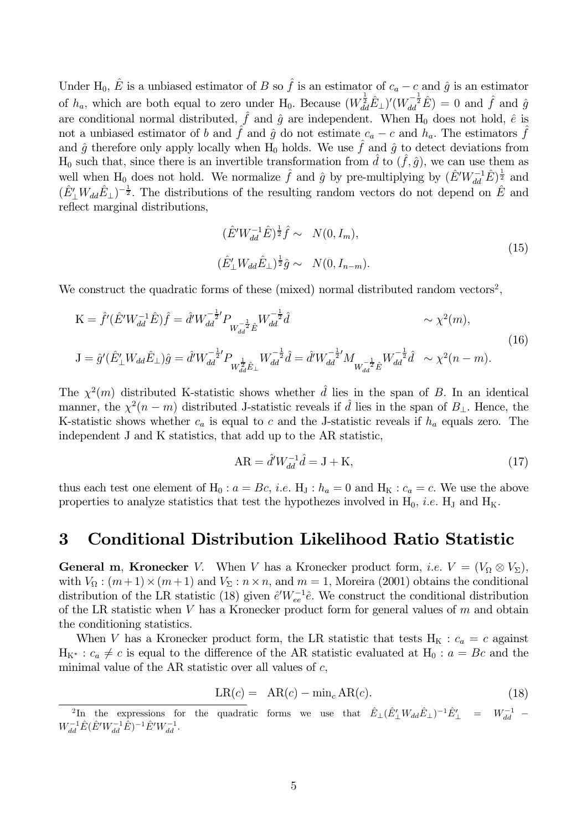Under H<sub>0</sub>,  $\hat{E}$  is a unbiased estimator of B so  $\hat{f}$  is an estimator of  $c_a - c$  and  $\hat{g}$  is an estimator of  $h_a$ , which are both equal to zero under H<sub>0</sub>. Because  $(W_{dd}^{\frac{1}{2}}\hat{E}_{\perp})'(W_{dd}^{-\frac{1}{2}}\hat{E}) = 0$  and  $\hat{f}$  and  $\hat{g}$ are conditional normal distributed,  $\hat{f}$  and  $\hat{g}$  are independent. When H<sub>0</sub> does not hold,  $\hat{e}$  is not a unbiased estimator of b and f and  $\hat{g}$  do not estimate  $c_a - c$  and  $h_a$ . The estimators f and  $\hat{g}$  therefore only apply locally when H<sub>0</sub> holds. We use  $\hat{f}$  and  $\hat{g}$  to detect deviations from  $H_0$  such that, since there is an invertible transformation from  $\hat{d}$  to  $(\hat{f}, \hat{g})$ , we can use them as well when H<sub>0</sub> does not hold. We normalize  $\hat{f}$  and  $\hat{g}$  by pre-multiplying by  $(\hat{E}'W_{dd}^{-1}\hat{E})^{\frac{1}{2}}$  and  $(\hat{E}'_1 W_{dd} \hat{E}_\perp)^{-\frac{1}{2}}$ . The distributions of the resulting random vectors do not depend on  $\hat{E}$  and reflect marginal distributions,

$$
(\hat{E}'W_{dd}^{-1}\hat{E})^{\frac{1}{2}}\hat{f} \sim N(0, I_m),
$$
  
\n
$$
(\hat{E}'_1 W_{dd}\hat{E}_1)^{\frac{1}{2}}\hat{g} \sim N(0, I_{n-m}).
$$
\n(15)

We construct the quadratic forms of these (mixed) normal distributed random vectors<sup>2</sup>,

$$
K = \hat{f}'(\hat{E}'W_{dd}^{-1}\hat{E})\hat{f} = \hat{d}'W_{dd}^{-\frac{1}{2}'}P_{W_{dd}^{-\frac{1}{2}}\hat{E}}W_{dd}^{-\frac{1}{2}}\hat{d} \qquad \sim \chi^2(m),
$$
  
\n
$$
J = \hat{g}'(\hat{E}'_M_{dd}\hat{E}_\perp)\hat{g} = \hat{d}'W_{dd}^{-\frac{1}{2}'}P_{W_{dd}^{\frac{1}{2}}\hat{E}_\perp}W_{dd}^{-\frac{1}{2}}\hat{d} = \hat{d}'W_{dd}^{-\frac{1}{2}'}M_{W_{dd}^{-\frac{1}{2}}\hat{E}}W_{dd}^{-\frac{1}{2}}\hat{d} \sim \chi^2(n-m).
$$
\n(16)

The  $\chi^2(m)$  distributed K-statistic shows whether  $\hat{d}$  lies in the span of B. In an identical manner, the  $\chi^2(n-m)$  distributed J-statistic reveals if  $\hat{d}$  lies in the span of  $B_{\perp}$ . Hence, the K-statistic shows whether  $c_a$  is equal to c and the J-statistic reveals if  $h_a$  equals zero. The independent J and K statistics, that add up to the AR statistic,

$$
AR = \hat{d}'W_{dd}^{-1}\hat{d} = J + K,\tag{17}
$$

thus each test one element of H<sub>0</sub> :  $a = Bc$ , *i.e.* H<sub>J</sub> :  $h_a = 0$  and H<sub>K</sub> :  $c_a = c$ . We use the above properties to analyze statistics that test the hypothezes involved in  $H_0$ , *i.e.*  $H_J$  and  $H_K$ .

#### 3 **Conditional Distribution Likelihood Ratio Statistic**

**General m, Kronecker** V. When V has a Kronecker product form, *i.e.*  $V = (V_0 \otimes V_\Sigma)$ , with  $V_{\Omega}$ :  $(m+1) \times (m+1)$  and  $V_{\Sigma}$ :  $n \times n$ , and  $m = 1$ , Moreira (2001) obtains the conditional distribution of the LR statistic (18) given  $\hat{e}'W_{ee}^{-1}\hat{e}$ . We construct the conditional distribution of the LR statistic when V has a Kronecker product form for general values of  $m$  and obtain the conditioning statistics.

When V has a Kronecker product form, the LR statistic that tests  $H_K : c_a = c$  against  $H_{K^*}: c_a \neq c$  is equal to the difference of the AR statistic evaluated at  $H_0: a = Bc$  and the minimal value of the AR statistic over all values of  $c$ ,

$$
LR(c) = AR(c) - \min_c AR(c). \tag{18}
$$

<sup>&</sup>lt;sup>2</sup>In the expressions for the quadratic forms we use that  $\hat{E}_{\perp}(\hat{E}'_{\perp}W_{dd}\hat{E}_{\perp})^{-1}\hat{E}'_{\perp}$  =  $W_{dd}^{-1}$  - $W_{dd}^{-1}\hat{E}(\hat{E}'W_{dd}^{-1}\hat{E})^{-1}\hat{E}'W_{dd}^{-1}.$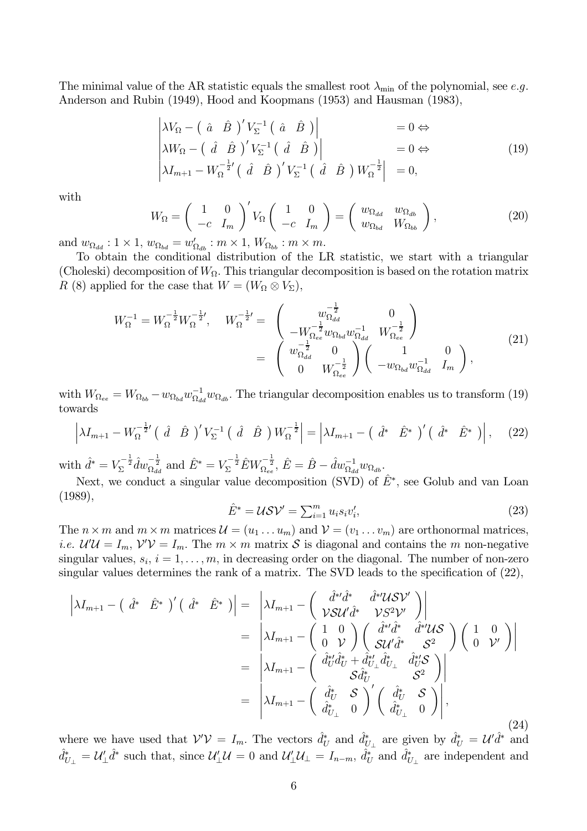The minimal value of the AR statistic equals the smallest root  $\lambda_{\min}$  of the polynomial, see e.g. Anderson and Rubin (1949), Hood and Koopmans (1953) and Hausman (1983),

$$
\begin{vmatrix}\n\lambda V_{\Omega} - \begin{pmatrix} \hat{a} & \hat{B} \end{pmatrix}' V_{\Sigma}^{-1} \begin{pmatrix} \hat{a} & \hat{B} \end{pmatrix}\n\end{vmatrix} = 0 \Leftrightarrow \n\lambda W_{\Omega} - \begin{pmatrix} \hat{d} & \hat{B} \end{pmatrix}' V_{\Sigma}^{-1} \begin{pmatrix} \hat{d} & \hat{B} \end{pmatrix}\n\end{vmatrix} = 0 \Leftrightarrow \n\lambda I_{m+1} - W_{\Omega}^{-\frac{1}{2}'} \begin{pmatrix} \hat{d} & \hat{B} \end{pmatrix}' V_{\Sigma}^{-1} \begin{pmatrix} \hat{d} & \hat{B} \end{pmatrix} W_{\Omega}^{-\frac{1}{2}} = 0,
$$
\n(19)

with

$$
W_{\Omega} = \begin{pmatrix} 1 & 0 \\ -c & I_m \end{pmatrix}' V_{\Omega} \begin{pmatrix} 1 & 0 \\ -c & I_m \end{pmatrix} = \begin{pmatrix} w_{\Omega_{dd}} & w_{\Omega_{db}} \\ w_{\Omega_{bd}} & W_{\Omega_{bb}} \end{pmatrix},
$$
(20)

and  $w_{\Omega_{dd}}: 1 \times 1$ ,  $w_{\Omega_{bd}} = w'_{\Omega_{db}}: m \times 1$ ,  $W_{\Omega_{bb}}: m \times m$ .

To obtain the conditional distribution of the LR statistic, we start with a triangular (Choleski) decomposition of  $W_{\Omega}$ . This triangular decomposition is based on the rotation matrix R (8) applied for the case that  $W = (W_{\Omega} \otimes V_{\Sigma}),$ 

$$
W_{\Omega}^{-1} = W_{\Omega}^{-\frac{1}{2}} W_{\Omega}^{-\frac{1}{2}}, \quad W_{\Omega}^{-\frac{1}{2}} = \begin{pmatrix} w_{\Omega_{dd}}^{-\frac{1}{2}} & 0 \\ -W_{\Omega_{ee}}^{-\frac{1}{2}} w_{\Omega_{bd}} w_{\Omega_{dd}}^{-1} & W_{\Omega_{ee}}^{-\frac{1}{2}} \\ w_{\Omega_{dd}}^{-\frac{1}{2}} & 0 \\ 0 & W_{\Omega_{ee}}^{-\frac{1}{2}} \end{pmatrix} \begin{pmatrix} 1 & 0 \\ -w_{\Omega_{bd}} w_{\Omega_{dd}}^{-1} & I_m \end{pmatrix},
$$
\n(21)

with  $W_{\Omega_{ee}} = W_{\Omega_{bb}} - w_{\Omega_{bd}} w_{\Omega_{dd}}^{-1} w_{\Omega_{db}}$ . The triangular decomposition enables us to transform (19) towards

$$
\left|\lambda I_{m+1} - W_{\Omega}^{-\frac{1}{2}'}\left(\begin{array}{cc} \hat{d} & \hat{B} \end{array}\right)^{\prime} V_{\Sigma}^{-1}\left(\begin{array}{cc} \hat{d} & \hat{B} \end{array}\right) W_{\Omega}^{-\frac{1}{2}}\right| = \left|\lambda I_{m+1} - \left(\begin{array}{cc} \hat{d}^{*} & \hat{E}^{*} \end{array}\right)^{\prime}\left(\begin{array}{cc} \hat{d}^{*} & \hat{E}^{*} \end{array}\right)\right|,\tag{22}
$$

with  $\hat{d}^* = V_{\Sigma}^{-\frac{1}{2}} \hat{d} w_{\Omega_{dd}}^{-\frac{1}{2}}$  and  $\hat{E}^* = V_{\Sigma}^{-\frac{1}{2}} \hat{E} W_{\Omega_{ee}}^{-\frac{1}{2}}, \hat{E} = \hat{B} - \hat{d} w_{\Omega_{dd}}^{-1} w_{\Omega_{db}}.$ 

Next, we conduct a singular value decomposition (SVD) of  $\hat{E}^*$ , see Golub and van Loan  $(1989),$ 

$$
\hat{E}^* = \mathcal{U}\mathcal{S}\mathcal{V}' = \sum_{i=1}^m u_i s_i v'_i,\tag{23}
$$

The  $n \times m$  and  $m \times m$  matrices  $\mathcal{U} = (u_1 \dots u_m)$  and  $\mathcal{V} = (v_1 \dots v_m)$  are orthonormal matrices, *i.e.*  $\mathcal{U}'\mathcal{U} = I_m$ ,  $\mathcal{V}'\mathcal{V} = I_m$ . The  $m \times m$  matrix S is diagonal and contains the m non-negative singular values,  $s_i$ ,  $i = 1, ..., m$ , in decreasing order on the diagonal. The number of non-zero singular values determines the rank of a matrix. The SVD leads to the specification of  $(22)$ ,

$$
\begin{split}\n\left|\lambda I_{m+1} - \begin{pmatrix} \hat{d}^* & \hat{E}^* \end{pmatrix}' \begin{pmatrix} \hat{d}^* & \hat{E}^* \end{pmatrix}\right| &= \left|\lambda I_{m+1} - \begin{pmatrix} \hat{d}^{*t}\hat{d}^* & \hat{d}^{*t}\hat{U}\hat{S}\hat{V}' \\ \mathcal{V}\hat{S}\hat{U}'\hat{d}^* & \mathcal{V}\hat{S}^2\hat{V}' \end{pmatrix}\right| \\
&= \left|\lambda I_{m+1} - \begin{pmatrix} 1 & 0 \\ 0 & \mathcal{V} \end{pmatrix} \begin{pmatrix} \hat{d}^{*t}\hat{d}^* & \hat{d}^{*t}\hat{U}\hat{S} \\ \mathcal{S}\hat{U}'\hat{d}^* & \mathcal{S}^2 \end{pmatrix} \begin{pmatrix} 1 & 0 \\ 0 & \mathcal{V}' \end{pmatrix}\right| \\
&= \left|\lambda I_{m+1} - \begin{pmatrix} \hat{d}^{*t}_{U}\hat{d}^*_{U} + \hat{d}^{*t}_{U_{\perp}}\hat{d}^*_{U_{\perp}} & \hat{d}^{*t}_{U}\hat{S} \\ \mathcal{S}\hat{d}^*_{U} & \mathcal{S}^2 \end{pmatrix}\right| \\
&= \left|\lambda I_{m+1} - \begin{pmatrix} \hat{d}^*_{U} & \mathcal{S} \\ \hat{d}^*_{U_{\perp}} & 0 \end{pmatrix}' \begin{pmatrix} \hat{d}^*_{U} & \mathcal{S} \\ \hat{d}^*_{U_{\perp}} & 0 \end{pmatrix}\right|,\n\end{split} \tag{24}
$$

where we have used that  $V'V = I_m$ . The vectors  $\hat{d}_U^*$  and  $\hat{d}_{U_{\perp}}^*$  are given by  $\hat{d}_U^* = \mathcal{U}' \hat{d}^*$  and  $\hat{d}_{U_{\perp}}^* = \mathcal{U}'_{\perp} \hat{d}^*$  such that, since  $\mathcal{U}'_{\perp} \mathcal{U} = 0$  and  $\mathcal{U}'_{\perp} \mathcal{U}_{\perp} = I_{n-m}$ ,  $\hat{d}_U^*$  and  $\hat{d}_{U_{\perp}}^*$  are independent and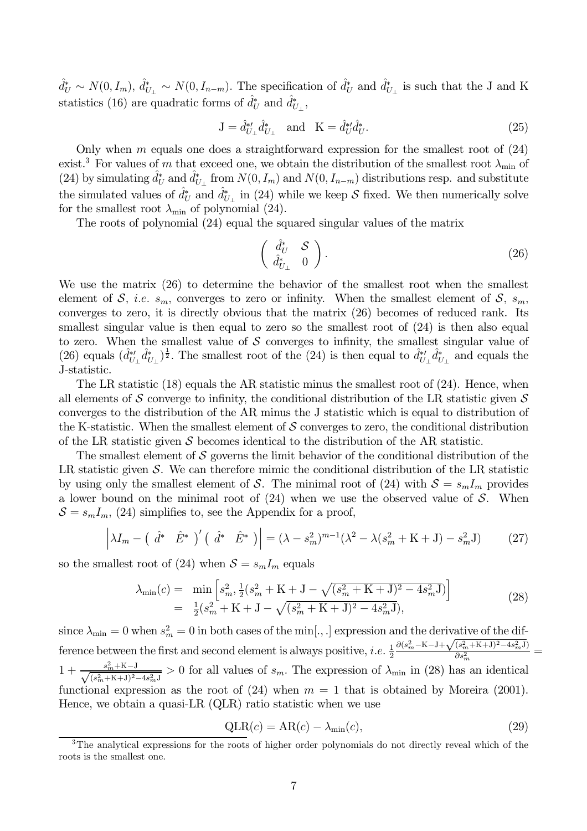$\hat{d}_U^* \sim N(0, I_m)$ ,  $\hat{d}_{U_{\perp}}^* \sim N(0, I_{n-m})$ . The specification of  $\hat{d}_U^*$  and  $\hat{d}_{U_{\perp}}^*$  is such that the J and K statistics (16) are quadratic forms of  $\hat{d}_U^*$  and  $\hat{d}_{U_+}^*$ ,

$$
J = \hat{d}_{U_{\perp}}^{*'} \hat{d}_{U_{\perp}}^{*} \quad \text{and} \quad K = \hat{d}_{U}^{*'} \hat{d}_{U}^{*}.
$$
 (25)

Only when  $m$  equals one does a straightforward expression for the smallest root of  $(24)$ exist.<sup>3</sup> For values of m that exceed one, we obtain the distribution of the smallest root  $\lambda_{\min}$  of (24) by simulating  $d_U^*$  and  $d_{U}^*$  from  $N(0, I_m)$  and  $N(0, I_{n-m})$  distributions resp. and substitute the simulated values of  $\hat{d}_U^*$  and  $\hat{d}_{U_{\perp}}^*$  in (24) while we keep S fixed. We then numerically solve for the smallest root  $\lambda_{\min}$  of polynomial (24).

The roots of polynomial  $(24)$  equal the squared singular values of the matrix

$$
\begin{pmatrix} \frac{d^*}{dt^*} & \mathcal{S} \\ \hat{d}^*_{U_\perp} & 0 \end{pmatrix} . \tag{26}
$$

We use the matrix  $(26)$  to determine the behavior of the smallest root when the smallest element of S, *i.e.*  $s_m$ , converges to zero or infinity. When the smallest element of S,  $s_m$ , converges to zero, it is directly obvious that the matrix  $(26)$  becomes of reduced rank. Its smallest singular value is then equal to zero so the smallest root of  $(24)$  is then also equal to zero. When the smallest value of  $S$  converges to infinity, the smallest singular value of (26) equals  $(\hat{d}_{U_{\perp}}^{*} \hat{d}_{U_{\perp}}^{*})^{\frac{1}{2}}$ . The smallest root of the (24) is then equal to  $\hat{d}_{U_{\perp}}^{*} \hat{d}_{U_{\perp}}^{*}$  and equals the J-statistic.

The LR statistic  $(18)$  equals the AR statistic minus the smallest root of  $(24)$ . Hence, when all elements of S converge to infinity, the conditional distribution of the LR statistic given S converges to the distribution of the AR minus the J statistic which is equal to distribution of the K-statistic. When the smallest element of  $S$  converges to zero, the conditional distribution of the LR statistic given  $S$  becomes identical to the distribution of the AR statistic.

The smallest element of S governs the limit behavior of the conditional distribution of the LR statistic given S. We can therefore mimic the conditional distribution of the LR statistic by using only the smallest element of S. The minimal root of (24) with  $S = s_m I_m$  provides a lower bound on the minimal root of  $(24)$  when we use the observed value of S. When  $S = s_m I_m$ , (24) simplifies to, see the Appendix for a proof,

$$
\left| \lambda I_m - \left( \hat{d}^* \quad \hat{E}^* \right)' \left( \hat{d}^* \quad \hat{E}^* \right) \right| = (\lambda - s_m^2)^{m-1} (\lambda^2 - \lambda (s_m^2 + \mathcal{K} + \mathcal{J}) - s_m^2 \mathcal{J}) \tag{27}
$$

so the smallest root of (24) when  $S = s_m I_m$  equals

$$
\lambda_{\min}(c) = \min \left[ s_m^2, \frac{1}{2} (s_m^2 + K + J - \sqrt{(s_m^2 + K + J)^2 - 4s_m^2 J}) \right] \n= \frac{1}{2} (s_m^2 + K + J - \sqrt{(s_m^2 + K + J)^2 - 4s_m^2 J}),
$$
\n(28)

since  $\lambda_{\min} = 0$  when  $s_m^2 = 0$  in both cases of the min[., .] expression and the derivative of the difference between the first and second element is always positive, *i.e.*  $\frac{1}{2} \frac{\partial (s_m^2 - K - J + \sqrt{(s_m^2 + K + J)^2 - 4s_m^2 J})}{$ functional expression as the root of (24) when  $m = 1$  that is obtained by Moreira (2001). Hence, we obtain a quasi-LR  $(QLR)$  ratio statistic when we use

$$
QLR(c) = AR(c) - \lambda_{\min}(c), \qquad (29)
$$

<sup>&</sup>lt;sup>3</sup>The analytical expressions for the roots of higher order polynomials do not directly reveal which of the roots is the smallest one.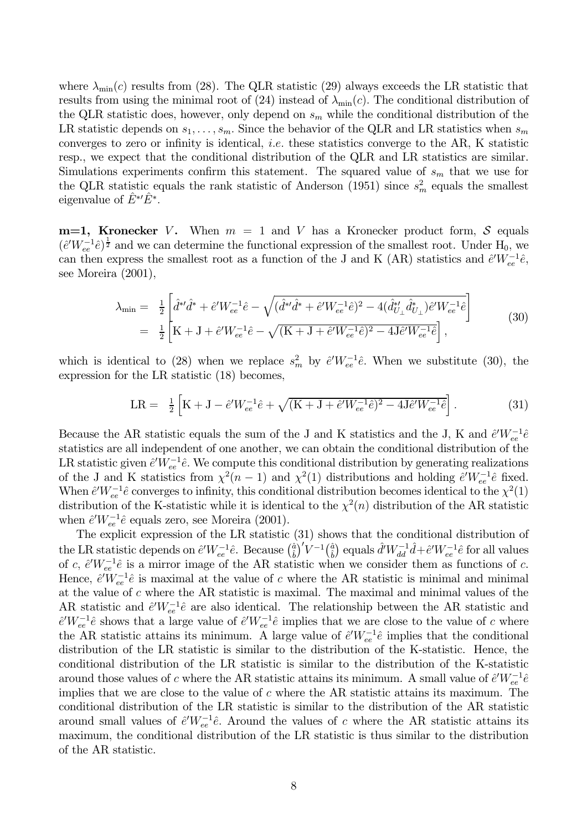where  $\lambda_{\min}(c)$  results from (28). The QLR statistic (29) always exceeds the LR statistic that results from using the minimal root of (24) instead of  $\lambda_{\min}(c)$ . The conditional distribution of the QLR statistic does, however, only depend on  $s_m$  while the conditional distribution of the LR statistic depends on  $s_1, \ldots, s_m$ . Since the behavior of the QLR and LR statistics when  $s_m$ converges to zero or infinity is identical, *i.e.* these statistics converge to the AR, K statistic resp., we expect that the conditional distribution of the QLR and LR statistics are similar. Simulations experiments confirm this statement. The squared value of  $s_m$  that we use for the QLR statistic equals the rank statistic of Anderson (1951) since  $s_m^2$  equals the smallest eigenvalue of  $E^*E^*$ .

 $m=1$ , Kronecker V. When  $m = 1$  and V has a Kronecker product form, S equals  $(\hat{e}'W_{ee}^{-1}\hat{e})^{\frac{1}{2}}$  and we can determine the functional expression of the smallest root. Under H<sub>0</sub>, we can then express the smallest root as a function of the J and K (AR) statistics and  $\hat{e}'W_{ee}^{-1}\hat{e}$ , see Moreira  $(2001)$ ,

$$
\lambda_{\min} = \frac{1}{2} \left[ \hat{d}^* \hat{d}^* + \hat{e}^{\prime} W_{ee}^{-1} \hat{e} - \sqrt{(\hat{d}^* \hat{d}^* + \hat{e}^{\prime} W_{ee}^{-1} \hat{e})^2 - 4(\hat{d}_{U_\perp}^* \hat{d}_{U_\perp}^*) \hat{e}^{\prime} W_{ee}^{-1} \hat{e}} \right]
$$
  
\n
$$
= \frac{1}{2} \left[ \mathbf{K} + \mathbf{J} + \hat{e}^{\prime} W_{ee}^{-1} \hat{e} - \sqrt{(\mathbf{K} + \mathbf{J} + \hat{e}^{\prime} W_{ee}^{-1} \hat{e})^2 - 4 \mathbf{J} \hat{e}^{\prime} W_{ee}^{-1} \hat{e}} \right],
$$
\n(30)

which is identical to (28) when we replace  $s_m^2$  by  $\hat{e}^{\prime}W_{ee}^{-1}\hat{e}$ . When we substitute (30), the expression for the LR statistic  $(18)$  becomes,

$$
LR = \frac{1}{2} \left[ K + J - \hat{e}' W_{ee}^{-1} \hat{e} + \sqrt{(K + J + \hat{e}' W_{ee}^{-1} \hat{e})^2 - 4J \hat{e}' W_{ee}^{-1} \hat{e}} \right].
$$
 (31)

Because the AR statistic equals the sum of the J and K statistics and the J, K and  $\hat{e}'W_{ee}^{-1}\hat{e}$ statistics are all independent of one another, we can obtain the conditional distribution of the LR statistic given  $\hat{e}'W_{ee}^{-1}\hat{e}$ . We compute this conditional distribution by generating realizations of the J and K statistics from  $\chi^2(n-1)$  and  $\chi^2(1)$  distributions and holding  $\hat{e}'W_{ee}^{-1}\hat{e}$  fixed.<br>When  $\hat{e}'W_{ee}^{-1}\hat{e}$  converges to infinity, this conditional distribution becomes identical to the  $\chi^2(1)$ distribution of the K-statistic while it is identical to the  $\chi^2(n)$  distribution of the AR statistic when  $\hat{e}'W_{ee}^{-1}\hat{e}$  equals zero, see Moreira (2001).

The explicit expression of the LR statistic  $(31)$  shows that the conditional distribution of the LR statistic depends on  $\hat{e}'W_{ee}^{-1}\hat{e}$ . Because  $(\hat{a})'V^{-1}(\hat{a})$  equals  $\hat{d}'W_{dd}^{-1}\hat{d}+\hat{e}'W_{ee}^{-1}\hat{e}$  for all values of c,  $\hat{e}'W_{ee}^{-1}\hat{e}$  is a mirror image of the AR statistic when we consider them as fu Hence,  $\hat{e}^{\prime}\tilde{W}_{ee}^{-1}\hat{e}$  is maximal at the value of c where the AR statistic is minimal and minimal at the value of  $c$  where the AR statistic is maximal. The maximal and minimal values of the AR statistic and  $\partial W_{ee}^{-1}\partial$  are also identical. The relationship between the AR statistic and  $\hat{e}'W_{ee}^{-1}\hat{e}$  shows that a large value of  $\hat{e}'W_{ee}^{-1}\hat{e}$  implies that we are close to the value of c where the AR statistic attains its minimum. A large value of  $\partial W_{ee}^{-1}\partial$  implies that the conditional distribution of the LR statistic is similar to the distribution of the K-statistic. Hence, the conditional distribution of the LR statistic is similar to the distribution of the K-statistic around those values of c where the AR statistic attains its minimum. A small value of  $\hat{e}'W_{ee}^{-1}\hat{e}$ implies that we are close to the value of  $c$  where the AR statistic attains its maximum. The conditional distribution of the LR statistic is similar to the distribution of the AR statistic around small values of  $\partial W_{ee}^{-1}\partial$ . Around the values of c where the AR statistic attains its maximum, the conditional distribution of the LR statistic is thus similar to the distribution of the AR statistic.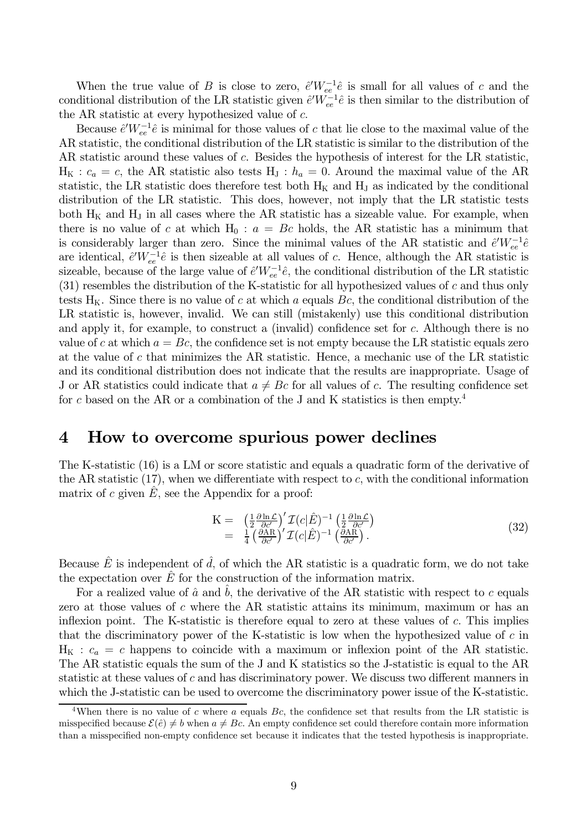When the true value of B is close to zero,  $\hat{e}'W_{ee}^{-1}\hat{e}$  is small for all values of c and the conditional distribution of the LR statistic given  $\hat{e}'W_{ee}^{-1}\hat{e}$  is then similar to the distribution of the AR statistic at every hypothesized value of  $c$ .

Because  $\hat{e}'W_{ee}^{-1}\hat{e}$  is minimal for those values of c that lie close to the maximal value of the AR statistic, the conditional distribution of the LR statistic is similar to the distribution of the AR statistic around these values of  $c$ . Besides the hypothesis of interest for the LR statistic,  $H_K$ :  $c_a = c$ , the AR statistic also tests  $H_J$ :  $h_a = 0$ . Around the maximal value of the AR statistic, the LR statistic does therefore test both  $H_K$  and  $H_J$  as indicated by the conditional distribution of the LR statistic. This does, however, not imply that the LR statistic tests both  $H_K$  and  $H_J$  in all cases where the AR statistic has a sizeable value. For example, when there is no value of c at which  $H_0: a = Bc$  holds, the AR statistic has a minimum that is considerably larger than zero. Since the minimal values of the AR statistic and  $\hat{e}'W_{ee}^{-1}\hat{e}$ are identical,  $\partial W_{ee}^{-1}\partial$  is then sizeable at all values of c. Hence, although the AR statistic is sizeable, because of the large value of  $\hat{e}'W_{ee}^{-1}\hat{e}$ , the conditional distribution of the LR statistic  $(31)$  resembles the distribution of the K-statistic for all hypothesized values of c and thus only tests  $H_K$ . Since there is no value of c at which a equals Bc, the conditional distribution of the LR statistic is, however, invalid. We can still (mistakenly) use this conditional distribution and apply it, for example, to construct a (invalid) confidence set for  $c$ . Although there is no value of c at which  $a = Bc$ , the confidence set is not empty because the LR statistic equals zero at the value of c that minimizes the AR statistic. Hence, a mechanic use of the LR statistic and its conditional distribution does not indicate that the results are inappropriate. Usage of J or AR statistics could indicate that  $a \neq Bc$  for all values of c. The resulting confidence set for c based on the AR or a combination of the J and K statistics is then empty.<sup>4</sup>

#### How to overcome spurious power declines  $\boldsymbol{4}$

The K-statistic  $(16)$  is a LM or score statistic and equals a quadratic form of the derivative of the AR statistic  $(17)$ , when we differentiate with respect to c, with the conditional information matrix of c given  $\hat{E}$ , see the Appendix for a proof:

$$
K = \left(\frac{1}{2}\frac{\partial \ln \mathcal{L}}{\partial c'}\right)' \mathcal{I}(c|\hat{E})^{-1} \left(\frac{1}{2}\frac{\partial \ln \mathcal{L}}{\partial c'}\right)
$$
  
= 
$$
\frac{1}{4} \left(\frac{\partial \text{AR}}{\partial c'}\right)' \mathcal{I}(c|\hat{E})^{-1} \left(\frac{\partial \text{AR}}{\partial c'}\right).
$$
 (32)

Because  $\hat{E}$  is independent of  $\hat{d}$ , of which the AR statistic is a quadratic form, we do not take the expectation over  $\overline{E}$  for the construction of the information matrix.

For a realized value of  $\hat{a}$  and b, the derivative of the AR statistic with respect to c equals zero at those values of  $c$  where the AR statistic attains its minimum, maximum or has an inflexion point. The K-statistic is therefore equal to zero at these values of c. This implies that the discriminatory power of the K-statistic is low when the hypothesized value of  $c$  in  $H_K$ :  $c_a = c$  happens to coincide with a maximum or inflexion point of the AR statistic. The AR statistic equals the sum of the J and K statistics so the J-statistic is equal to the AR statistic at these values of  $c$  and has discriminatory power. We discuss two different manners in which the J-statistic can be used to overcome the discriminatory power issue of the K-statistic.

<sup>&</sup>lt;sup>4</sup>When there is no value of c where a equals Bc, the confidence set that results from the LR statistic is misspecified because  $\mathcal{E}(\hat{e}) \neq b$  when  $a \neq Bc$ . An empty confidence set could therefore contain more information than a misspecified non-empty confidence set because it indicates that the tested hypothesis is inappropriate.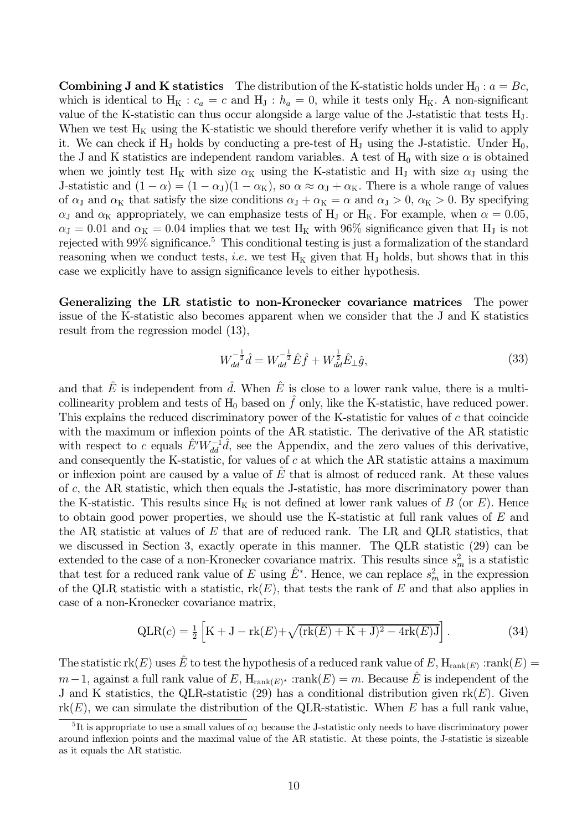**Combining J and K statistics** The distribution of the K-statistic holds under  $H_0: a = Bc$ , which is identical to  $H_K$ :  $c_a = c$  and  $H_J$ :  $h_a = 0$ , while it tests only  $H_K$ . A non-significant value of the K-statistic can thus occur alongside a large value of the J-statistic that tests H<sub>1</sub>. When we test  $H_K$  using the K-statistic we should therefore verify whether it is valid to apply it. We can check if  $H_J$  holds by conducting a pre-test of  $H_J$  using the J-statistic. Under  $H_0$ , the J and K statistics are independent random variables. A test of  $H_0$  with size  $\alpha$  is obtained when we jointly test H<sub>K</sub> with size  $\alpha$ <sub>K</sub> using the K-statistic and H<sub>J</sub> with size  $\alpha$ <sub>J</sub> using the J-statistic and  $(1 - \alpha) = (1 - \alpha_J)(1 - \alpha_K)$ , so  $\alpha \approx \alpha_J + \alpha_K$ . There is a whole range of values of  $\alpha_{\rm J}$  and  $\alpha_{\rm K}$  that satisfy the size conditions  $\alpha_{\rm J} + \alpha_{\rm K} = \alpha$  and  $\alpha_{\rm J} > 0$ ,  $\alpha_{\rm K} > 0$ . By specifying  $\alpha_{\rm J}$  and  $\alpha_{\rm K}$  appropriately, we can emphasize tests of H<sub>J</sub> or H<sub>K</sub>. For example, when  $\alpha = 0.05$ ,  $\alpha_{\rm J} = 0.01$  and  $\alpha_{\rm K} = 0.04$  implies that we test H<sub>K</sub> with 96% significance given that H<sub>J</sub> is not rejected with  $99\%$  significance.<sup>5</sup> This conditional testing is just a formalization of the standard reasoning when we conduct tests, *i.e.* we test  $H_K$  given that  $H_J$  holds, but shows that in this case we explicitly have to assign significance levels to either hypothesis.

Generalizing the LR statistic to non-Kronecker covariance matrices The power issue of the K-statistic also becomes apparent when we consider that the J and K statistics result from the regression model (13),

$$
W_{dd}^{-\frac{1}{2}}\hat{d} = W_{dd}^{-\frac{1}{2}}\hat{E}\hat{f} + W_{dd}^{\frac{1}{2}}\hat{E}_{\perp}\hat{g},\tag{33}
$$

and that  $\hat{E}$  is independent from  $\hat{d}$ . When  $\hat{E}$  is close to a lower rank value, there is a multicollinearity problem and tests of  $H_0$  based on  $\hat{f}$  only, like the K-statistic, have reduced power. This explains the reduced discriminatory power of the K-statistic for values of c that coincide with the maximum or inflexion points of the AR statistic. The derivative of the AR statistic with respect to c equals  $E'W_{dd}^{-1}d$ , see the Appendix, and the zero values of this derivative, and consequently the K-statistic, for values of  $c$  at which the AR statistic attains a maximum or inflexion point are caused by a value of  $E$  that is almost of reduced rank. At these values of  $c$ , the AR statistic, which then equals the J-statistic, has more discriminatory power than the K-statistic. This results since  $H_K$  is not defined at lower rank values of B (or E). Hence to obtain good power properties, we should use the K-statistic at full rank values of  $E$  and the AR statistic at values of  $E$  that are of reduced rank. The LR and QLR statistics, that we discussed in Section 3, exactly operate in this manner. The QLR statistic (29) can be extended to the case of a non-Kronecker covariance matrix. This results since  $s_m^2$  is a statistic that test for a reduced rank value of E using  $\hat{E}^*$ . Hence, we can replace  $s_m^2$  in the expression of the QLR statistic with a statistic,  $rk(E)$ , that tests the rank of E and that also applies in case of a non-Kronecker covariance matrix,

$$
QLR(c) = \frac{1}{2} \left[ K + J - \text{rk}(E) + \sqrt{(\text{rk}(E) + K + J)^2 - 4\text{rk}(E)J} \right].
$$
 (34)

The statistic  $rk(E)$  uses  $\hat{E}$  to test the hypothesis of a reduced rank value of E,  $H_{rank(E)}$  : rank $(E)$  =  $m-1$ , against a full rank value of E,  $H_{rank(E)^*}$  : rank $(E) = m$ . Because E is independent of the J and K statistics, the QLR-statistic (29) has a conditional distribution given  $rk(E)$ . Given  $rk(E)$ , we can simulate the distribution of the QLR-statistic. When E has a full rank value,

<sup>&</sup>lt;sup>5</sup>It is appropriate to use a small values of  $\alpha$ <sub>J</sub> because the J-statistic only needs to have discriminatory power around inflexion points and the maximal value of the AR statistic. At these points, the J-statistic is sizeable as it equals the AR statistic.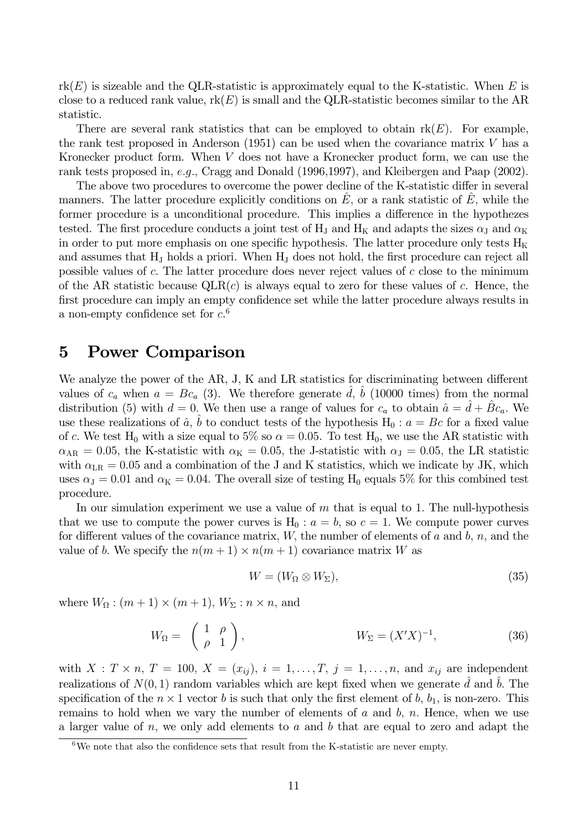$rk(E)$  is sizeable and the QLR-statistic is approximately equal to the K-statistic. When E is close to a reduced rank value,  $rk(E)$  is small and the QLR-statistic becomes similar to the AR statistic.

There are several rank statistics that can be employed to obtain  $rk(E)$ . For example, the rank test proposed in Anderson  $(1951)$  can be used when the covariance matrix V has a Kronecker product form. When V does not have a Kronecker product form, we can use the rank tests proposed in, e.g., Cragg and Donald (1996, 1997), and Kleibergen and Paap  $(2002)$ .

The above two procedures to overcome the power decline of the K-statistic differ in several manners. The latter procedure explicitly conditions on  $E$ , or a rank statistic of  $E$ , while the former procedure is a unconditional procedure. This implies a difference in the hypothezes tested. The first procedure conducts a joint test of H<sub>J</sub> and H<sub>K</sub> and adapts the sizes  $\alpha_{\rm J}$  and  $\alpha_{\rm K}$ in order to put more emphasis on one specific hypothesis. The latter procedure only tests  $H_K$ and assumes that  $H<sub>J</sub>$  holds a priori. When  $H<sub>J</sub>$  does not hold, the first procedure can reject all possible values of c. The latter procedure does never reject values of c close to the minimum of the AR statistic because  $QLR(c)$  is always equal to zero for these values of c. Hence, the first procedure can imply an empty confidence set while the latter procedure always results in a non-empty confidence set for  $c<sup>6</sup>$ 

#### **Power Comparison**  $\overline{5}$

We analyze the power of the AR, J, K and LR statistics for discriminating between different values of  $c_a$  when  $a = Bc_a$  (3). We therefore generate d, b (10000 times) from the normal distribution (5) with  $d = 0$ . We then use a range of values for  $c_a$  to obtain  $\hat{a} = \hat{d} + \hat{B}c_a$ . We use these realizations of  $\hat{a}$ ,  $\hat{b}$  to conduct tests of the hypothesis H<sub>0</sub> :  $a = Bc$  for a fixed value of c. We test H<sub>0</sub> with a size equal to 5% so  $\alpha = 0.05$ . To test H<sub>0</sub>, we use the AR statistic with  $\alpha_{AR} = 0.05$ , the K-statistic with  $\alpha_K = 0.05$ , the J-statistic with  $\alpha_J = 0.05$ , the LR statistic with  $\alpha_{LR} = 0.05$  and a combination of the J and K statistics, which we indicate by JK, which uses  $\alpha_{\rm J} = 0.01$  and  $\alpha_{\rm K} = 0.04$ . The overall size of testing H<sub>0</sub> equals 5% for this combined test procedure.

In our simulation experiment we use a value of  $m$  that is equal to 1. The null-hypothesis that we use to compute the power curves is  $H_0: a = b$ , so  $c = 1$ . We compute power curves for different values of the covariance matrix,  $W$ , the number of elements of  $a$  and  $b$ ,  $n$ , and the value of b. We specify the  $n(m+1) \times n(m+1)$  covariance matrix W as

$$
W = (W_{\Omega} \otimes W_{\Sigma}),\tag{35}
$$

where  $W_{\Omega}$ :  $(m+1) \times (m+1)$ ,  $W_{\Sigma}$ :  $n \times n$ , and

$$
W_{\Omega} = \begin{pmatrix} 1 & \rho \\ \rho & 1 \end{pmatrix}, \qquad W_{\Sigma} = (X'X)^{-1}, \qquad (36)
$$

with  $X: T \times n$ ,  $T = 100$ ,  $X = (x_{ij})$ ,  $i = 1, \ldots, T$ ,  $j = 1, \ldots, n$ , and  $x_{ij}$  are independent realizations of  $N(0, 1)$  random variables which are kept fixed when we generate d and b. The specification of the  $n \times 1$  vector b is such that only the first element of b,  $b_1$ , is non-zero. This remains to hold when we vary the number of elements of  $a$  and  $b$ ,  $n$ . Hence, when we use a larger value of  $n$ , we only add elements to  $a$  and  $b$  that are equal to zero and adapt the

 ${}^{6}$ We note that also the confidence sets that result from the K-statistic are never empty.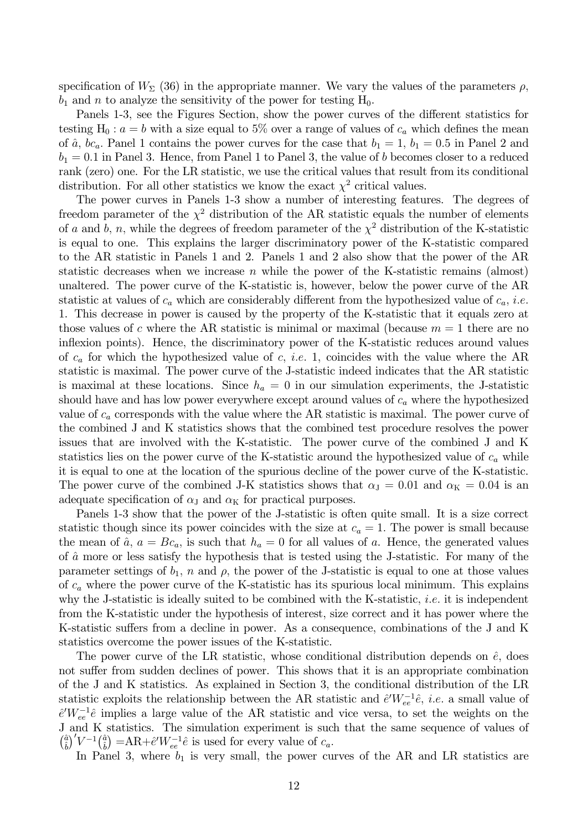specification of  $W_{\Sigma}$  (36) in the appropriate manner. We vary the values of the parameters  $\rho$ ,  $b_1$  and n to analyze the sensitivity of the power for testing  $H_0$ .

Panels 1-3, see the Figures Section, show the power curves of the different statistics for testing H<sub>0</sub>:  $a = b$  with a size equal to 5% over a range of values of  $c_a$  which defines the mean of  $\hat{a}$ ,  $bc_a$ . Panel 1 contains the power curves for the case that  $b_1 = 1$ ,  $b_1 = 0.5$  in Panel 2 and  $b_1 = 0.1$  in Panel 3. Hence, from Panel 1 to Panel 3, the value of b becomes closer to a reduced rank (zero) one. For the LR statistic, we use the critical values that result from its conditional distribution. For all other statistics we know the exact  $\chi^2$  critical values.

The power curves in Panels 1-3 show a number of interesting features. The degrees of freedom parameter of the  $\chi^2$  distribution of the AR statistic equals the number of elements of a and b, n, while the degrees of freedom parameter of the  $\chi^2$  distribution of the K-statistic is equal to one. This explains the larger discriminatory power of the K-statistic compared to the AR statistic in Panels 1 and 2. Panels 1 and 2 also show that the power of the AR statistic decreases when we increase n while the power of the K-statistic remains (almost) unaltered. The power curve of the K-statistic is, however, below the power curve of the AR statistic at values of  $c_a$  which are considerably different from the hypothesized value of  $c_a$ , *i.e.* 1. This decrease in power is caused by the property of the K-statistic that it equals zero at those values of c where the AR statistic is minimal or maximal (because  $m = 1$  there are no inflexion points). Hence, the discriminatory power of the K-statistic reduces around values of  $c_a$  for which the hypothesized value of c, *i.e.* 1, coincides with the value where the AR statistic is maximal. The power curve of the J-statistic indeed indicates that the AR statistic is maximal at these locations. Since  $h_a = 0$  in our simulation experiments, the J-statistic should have and has low power everywhere except around values of  $c_a$  where the hypothesized value of  $c_a$  corresponds with the value where the AR statistic is maximal. The power curve of the combined J and K statistics shows that the combined test procedure resolves the power issues that are involved with the K-statistic. The power curve of the combined J and K statistics lies on the power curve of the K-statistic around the hypothesized value of  $c_a$  while it is equal to one at the location of the spurious decline of the power curve of the K-statistic. The power curve of the combined J-K statistics shows that  $\alpha_{\rm J} = 0.01$  and  $\alpha_{\rm K} = 0.04$  is an adequate specification of  $\alpha_{\text{J}}$  and  $\alpha_{\text{K}}$  for practical purposes.

Panels 1-3 show that the power of the J-statistic is often quite small. It is a size correct statistic though since its power coincides with the size at  $c_a = 1$ . The power is small because the mean of  $\hat{a}$ ,  $a = Bc_a$ , is such that  $h_a = 0$  for all values of a. Hence, the generated values of  $\hat{a}$  more or less satisfy the hypothesis that is tested using the J-statistic. For many of the parameter settings of  $b_1$ , n and  $\rho$ , the power of the J-statistic is equal to one at those values of  $c_a$  where the power curve of the K-statistic has its spurious local minimum. This explains why the J-statistic is ideally suited to be combined with the K-statistic, *i.e.* it is independent from the K-statistic under the hypothesis of interest, size correct and it has power where the K-statistic suffers from a decline in power. As a consequence, combinations of the J and K statistics overcome the power issues of the K-statistic.

The power curve of the LR statistic, whose conditional distribution depends on  $\hat{e}$ , does not suffer from sudden declines of power. This shows that it is an appropriate combination of the J and K statistics. As explained in Section 3, the conditional distribution of the LR statistic exploits the relationship between the AR statistic and  $\hat{e}'W_{ee}^{-1}\hat{e}$ , *i.e.* a small value of  $\hat{e}^{\prime}W_{ee}^{-1}\hat{e}$  implies a large value of the AR statistic and vice versa, to set the weights on the J and K statistics. The simulation experiment is such that the same sequence of values of  $\left(\frac{\hat{a}}{\hat{b}}\right)'V^{-1}\left(\frac{\hat{a}}{\hat{b}}\right) = AR + \hat{e}'W_{ee}^{-1}\hat{e}$  is used for every value of  $c_a$ .

In Panel 3, where  $b_1$  is very small, the power curves of the AR and LR statistics are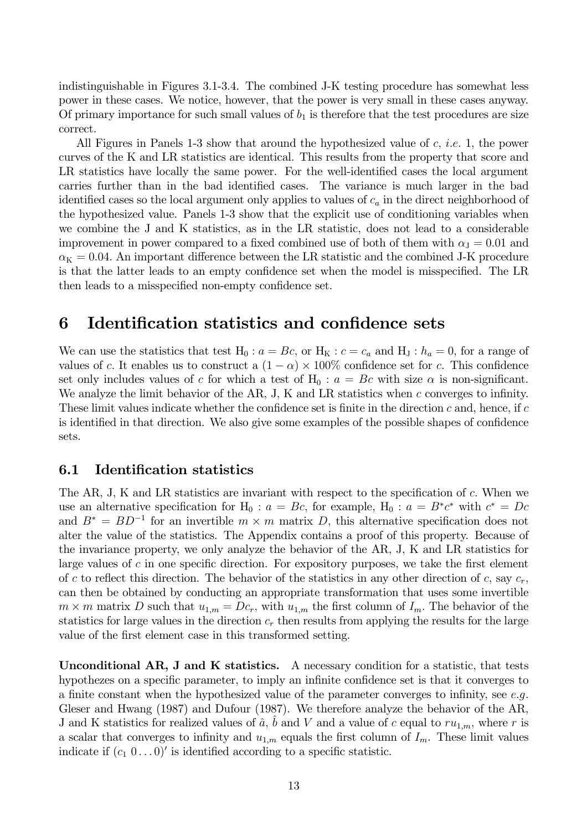indistinguishable in Figures 3.1-3.4. The combined J-K testing procedure has somewhat less power in these cases. We notice, however, that the power is very small in these cases anyway. Of primary importance for such small values of  $b_1$  is therefore that the test procedures are size correct.

All Figures in Panels 1-3 show that around the hypothesized value of c, *i.e.* 1, the power curves of the K and LR statistics are identical. This results from the property that score and LR statistics have locally the same power. For the well-identified cases the local argument carries further than in the bad identified cases. The variance is much larger in the bad identified cases so the local argument only applies to values of  $c_a$  in the direct neighborhood of the hypothesized value. Panels 1-3 show that the explicit use of conditioning variables when we combine the J and K statistics, as in the LR statistic, does not lead to a considerable improvement in power compared to a fixed combined use of both of them with  $\alpha_{J} = 0.01$  and  $\alpha_{\rm K}=0.04$ . An important difference between the LR statistic and the combined J-K procedure is that the latter leads to an empty confidence set when the model is misspecified. The LR then leads to a misspecified non-empty confidence set.

#### 6 Identification statistics and confidence sets

We can use the statistics that test  $H_0: a = Bc$ , or  $H_K: c = c_a$  and  $H_J: h_a = 0$ , for a range of values of c. It enables us to construct a  $(1 - \alpha) \times 100\%$  confidence set for c. This confidence set only includes values of c for which a test of  $H_0: a = Bc$  with size  $\alpha$  is non-significant. We analyze the limit behavior of the AR, J, K and LR statistics when  $c$  converges to infinity. These limit values indicate whether the confidence set is finite in the direction  $c$  and, hence, if  $c$ is identified in that direction. We also give some examples of the possible shapes of confidence sets.

#### $6.1$ **Identification statistics**

The AR, J, K and LR statistics are invariant with respect to the specification of  $c$ . When we use an alternative specification for H<sub>0</sub> :  $a = Bc$ , for example, H<sub>0</sub> :  $a = B^*c^*$  with  $c^* = Dc$ and  $B^* = BD^{-1}$  for an invertible  $m \times m$  matrix D, this alternative specification does not alter the value of the statistics. The Appendix contains a proof of this property. Because of the invariance property, we only analyze the behavior of the AR, J, K and LR statistics for large values of  $c$  in one specific direction. For expository purposes, we take the first element of c to reflect this direction. The behavior of the statistics in any other direction of c, say  $c_r$ , can then be obtained by conducting an appropriate transformation that uses some invertible  $m \times m$  matrix D such that  $u_{1,m} = Dc_r$ , with  $u_{1,m}$  the first column of  $I_m$ . The behavior of the statistics for large values in the direction  $c_r$  then results from applying the results for the large value of the first element case in this transformed setting.

**Unconditional AR, J and K statistics.** A necessary condition for a statistic, that tests hypothezes on a specific parameter, to imply an infinite confidence set is that it converges to a finite constant when the hypothesized value of the parameter converges to infinity, see  $e.g.$ Gleser and Hwang  $(1987)$  and Dufour  $(1987)$ . We therefore analyze the behavior of the AR, J and K statistics for realized values of  $\hat{a}$ , b and V and a value of c equal to  $ru_{1,m}$ , where r is a scalar that converges to infinity and  $u_{1,m}$  equals the first column of  $I_m$ . These limit values indicate if  $(c_1 \ 0 \dots 0)'$  is identified according to a specific statistic.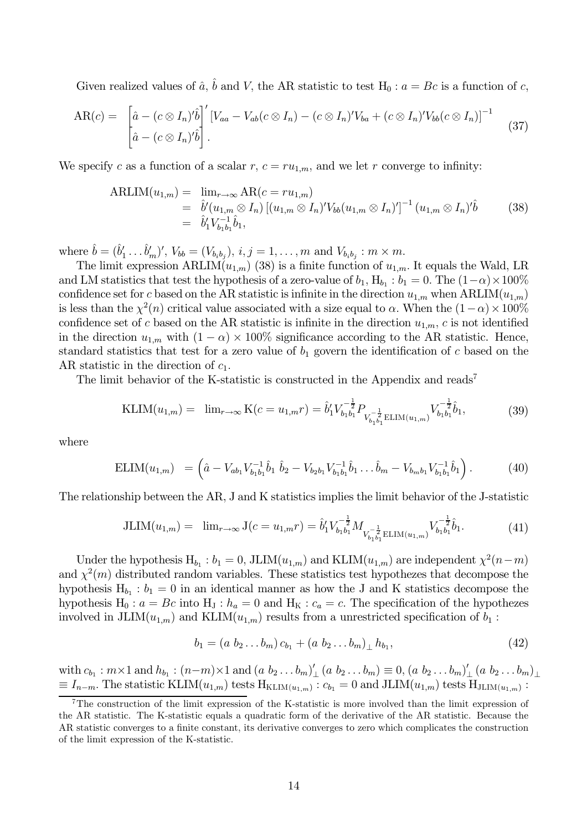Given realized values of  $\hat{a}$ ,  $\hat{b}$  and V, the AR statistic to test H<sub>0</sub> :  $a = Bc$  is a function of c,

$$
AR(c) = \begin{bmatrix} \hat{a} - (c \otimes I_n)^t \hat{b} \end{bmatrix}' [V_{aa} - V_{ab}(c \otimes I_n) - (c \otimes I_n)^t V_{ba} + (c \otimes I_n)^t V_{bb}(c \otimes I_n)]^{-1} \quad (37)
$$

We specify c as a function of a scalar r,  $c = ru_{1,m}$ , and we let r converge to infinity:

ARLIM
$$
(u_{1,m})
$$
 =  $\lim_{r \to \infty} AR(c = ru_{1,m})$   
\n=  $\hat{b}'(u_{1,m} \otimes I_n) [(u_{1,m} \otimes I_n)'V_{bb}(u_{1,m} \otimes I_n)']^{-1} (u_{1,m} \otimes I_n)'\hat{b}$  (38)  
\n=  $\hat{b}'_1 V_{b_1 b_1}^{-1} \hat{b}_1$ ,

where  $\hat{b} = (\hat{b}'_1 \dots \hat{b}'_m)'$ ,  $V_{bb} = (V_{b_ib_j})$ ,  $i, j = 1, \dots, m$  and  $V_{b_ib_j} : m \times m$ .

The limit expression ARLIM $(u_{1,m})$  (38) is a finite function of  $u_{1,m}$ . It equals the Wald, LR and LM statistics that test the hypothesis of a zero-value of  $b_1$ ,  $H_{b_1}$ :  $b_1 = 0$ . The  $(1-\alpha) \times 100\%$ confidence set for c based on the AR statistic is infinite in the direction  $u_{1,m}$  when ARLIM $(u_{1,m})$ is less than the  $\chi^2(n)$  critical value associated with a size equal to  $\alpha$ . When the  $(1-\alpha) \times 100\%$ confidence set of c based on the AR statistic is infinite in the direction  $u_{1,m}$ , c is not identified in the direction  $u_{1,m}$  with  $(1-\alpha) \times 100\%$  significance according to the AR statistic. Hence, standard statistics that test for a zero value of  $b_1$  govern the identification of c based on the AR statistic in the direction of  $c_1$ .

The limit behavior of the K-statistic is constructed in the Appendix and reads<sup>7</sup>

$$
KLIM(u_{1,m}) = \lim_{r \to \infty} K(c = u_{1,m}r) = \hat{b}'_1 V_{b_1 b_1}^{-\frac{1}{2}} P_{V_{b_1 b_1}^{-\frac{1}{2}} ELIM(u_{1,m})} V_{b_1 b_1}^{-\frac{1}{2}} \hat{b}_1,
$$
\n(39)

where

$$
ELIM(u_{1,m}) = \left(\hat{a} - V_{ab_1}V_{b_1b_1}^{-1}\hat{b}_1 \ \hat{b}_2 - V_{b_2b_1}V_{b_1b_1}^{-1}\hat{b}_1 \dots \hat{b}_m - V_{b_mb_1}V_{b_1b_1}^{-1}\hat{b}_1\right). \tag{40}
$$

The relationship between the AR, J and K statistics implies the limit behavior of the J-statistic

JLIM
$$
(u_{1,m}) = \lim_{r \to \infty} J(c = u_{1,m}r) = \hat{b}'_1 V_{b_1 b_1}^{-\frac{1}{2}} M_{V_{b_1 b_1}^{-\frac{1}{2}}} \underset{\text{ELIM}(u_{1,m})}{\text{ELIM}(u_{1,m})} V_{b_1 b_1}^{-\frac{1}{2}} \hat{b}_1.
$$
 (41)

Under the hypothesis  $H_{b_1}$ :  $b_1 = 0$ , JLIM $(u_{1,m})$  and KLIM $(u_{1,m})$  are independent  $\chi^2(n-m)$ and  $\chi^2(m)$  distributed random variables. These statistics test hypothezes that decompose the hypothesis  $H_{b_1}$ :  $b_1 = 0$  in an identical manner as how the J and K statistics decompose the hypothesis H<sub>0</sub>:  $a = Bc$  into H<sub>J</sub>:  $h_a = 0$  and H<sub>K</sub>:  $c_a = c$ . The specification of the hypothezes involved in JLIM $(u_{1,m})$  and KLIM $(u_{1,m})$  results from a unrestricted specification of  $b_1$ :

$$
b_1 = (a \ b_2 \dots b_m) c_{b_1} + (a \ b_2 \dots b_m) \ b_{b_1}, \tag{42}
$$

with  $c_{b_1} : m \times 1$  and  $h_{b_1} : (n-m) \times 1$  and  $(a b_2 ... b_m)'_+(a b_2 ... b_m) \equiv 0, (a b_2 ... b_m)'_+(a b_2 ... b_m)_{\perp}$  $\equiv I_{n-m}$ . The statistic KLIM $(u_{1,m})$  tests  $H_{\text{KLIM}(u_{1,m})}$ :  $c_{b_1} = 0$  and JLIM $(u_{1,m})$  tests  $H_{\text{JLLIM}(u_{1,m})}$ :

 $7$ The construction of the limit expression of the K-statistic is more involved than the limit expression of the AR statistic. The K-statistic equals a quadratic form of the derivative of the AR statistic. Because the AR statistic converges to a finite constant, its derivative converges to zero which complicates the construction of the limit expression of the K-statistic.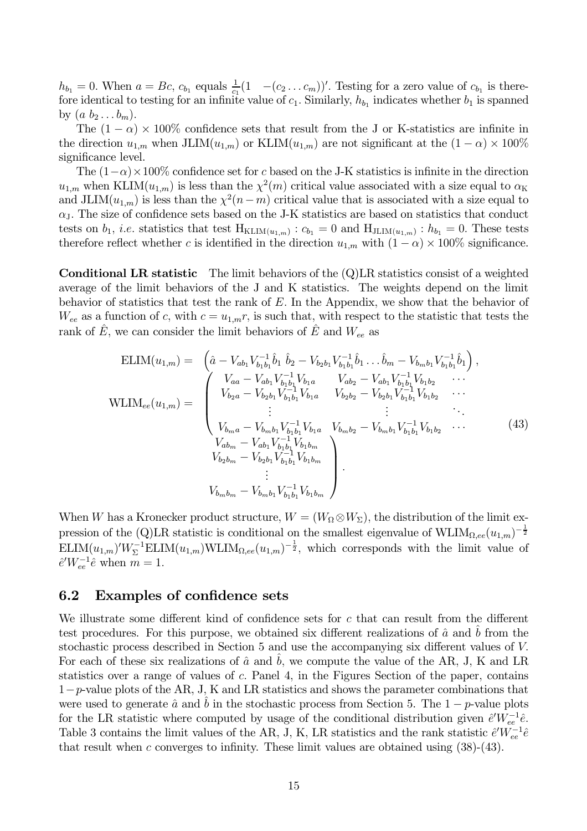$h_{b_1} = 0$ . When  $a = Bc$ ,  $c_{b_1}$  equals  $\frac{1}{c_1}(1 - (c_2 \dots c_m))'$ . Testing for a zero value of  $c_{b_1}$  is therefore identical to testing for an infinite value of  $c_1$ . Similarly,  $h_{b_1}$  indicates whether  $b_1$  is spanned by  $(a\ b_2 \ldots b_m)$ .

The  $(1 - \alpha) \times 100\%$  confidence sets that result from the J or K-statistics are infinite in the direction  $u_{1,m}$  when JLIM $(u_{1,m})$  or KLIM $(u_{1,m})$  are not significant at the  $(1 - \alpha) \times 100\%$ significance level.

The  $(1-\alpha) \times 100\%$  confidence set for c based on the J-K statistics is infinite in the direction  $u_{1,m}$  when KLIM $(u_{1,m})$  is less than the  $\chi^2(m)$  critical value associated with a size equal to  $\alpha_K$ and JLIM $(u_{1,m})$  is less than the  $\chi^2(n-m)$  critical value that is associated with a size equal to  $\alpha$ <sub>J</sub>. The size of confidence sets based on the J-K statistics are based on statistics that conduct tests on  $b_1$ , *i.e.* statistics that test  $H_{KLIM(u_1,m)}$ :  $c_{b_1} = 0$  and  $H_{JLM(u_1,m)}$ :  $h_{b_1} = 0$ . These tests therefore reflect whether c is identified in the direction  $u_{1,m}$  with  $(1-\alpha) \times 100\%$  significance.

**Conditional LR statistic** The limit behaviors of the  $(Q)$ LR statistics consist of a weighted average of the limit behaviors of the J and K statistics. The weights depend on the limit behavior of statistics that test the rank of  $E$ . In the Appendix, we show that the behavior of  $W_{ee}$  as a function of c, with  $c = u_{1,m}r$ , is such that, with respect to the statistic that tests the rank of  $\hat{E}$ , we can consider the limit behaviors of  $\hat{E}$  and  $W_{ee}$  as

$$
\text{ELIM}(u_{1,m}) = \begin{pmatrix} \hat{a} - V_{ab_1} V_{b_1 b_1}^{-1} \hat{b}_1 \ \hat{b}_2 - V_{b_2 b_1} V_{b_1 b_1}^{-1} \hat{b}_1 \ \dots \hat{b}_m - V_{b_m b_1} V_{b_1 b_1}^{-1} \hat{b}_1 \end{pmatrix},
$$
\n
$$
\text{WLIM}_{ee}(u_{1,m}) = \begin{pmatrix} V_{aa} - V_{ab_1} V_{b_1 b_1}^{-1} V_{b_1 a} & V_{ab_2} - V_{ab_1} V_{b_1 b_1}^{-1} V_{b_1 b_2} & \dots \\ V_{b_2 a} - V_{b_2 b_1} V_{b_1 b_1}^{-1} V_{b_1 a} & V_{b_2 b_2} - V_{b_2 b_1} V_{b_1 b_1}^{-1} V_{b_1 b_2} & \dots \\ \vdots & \vdots & \ddots \\ V_{b_m a} - V_{b_m b_1} V_{b_1 b_1}^{-1} V_{b_1 a} & V_{b_m b_2} - V_{b_m b_1} V_{b_1 b_1}^{-1} V_{b_1 b_2} & \dots \\ V_{ab_m} - V_{ab_1} V_{b_1 b_1}^{-1} V_{b_1 b_m} & V_{b_2 b_m} - V_{b_2 b_1} V_{b_1 b_1}^{-1} V_{b_1 b_m} & \vdots \\ \vdots & \vdots & \ddots & \vdots \\ V_{b_m b_m} - V_{b_m b_1} V_{b_1 b_1}^{-1} V_{b_1 b_m} & V_{b_1 b_m} \end{pmatrix}.
$$
\n
$$
(43)
$$

When W has a Kronecker product structure,  $W = (W_{\Omega} \otimes W_{\Sigma})$ , the distribution of the limit expression of the (Q)LR statistic is conditional on the smallest eigenvalue of  $\text{WLIM}_{\Omega,ee}(u_{1,m})^{-\frac{1}{2}}$  $\text{ELIM}(u_{1,m})'W_{\Sigma}^{-1}\text{ELIM}(u_{1,m})\text{WLIM}_{\Omega,ee}(u_{1,m})^{-\frac{1}{2}},$  which corresponds with the limit value of  $\hat{e}'W_{ee}^{-1}\hat{e}$  when  $m=1.$ 

#### $6.2$ **Examples of confidence sets**

We illustrate some different kind of confidence sets for c that can result from the different test procedures. For this purpose, we obtained six different realizations of  $\hat{a}$  and b from the stochastic process described in Section 5 and use the accompanying six different values of V. For each of these six realizations of  $\hat{a}$  and  $b$ , we compute the value of the AR, J, K and LR statistics over a range of values of c. Panel 4, in the Figures Section of the paper, contains  $1-p$ -value plots of the AR, J, K and LR statistics and shows the parameter combinations that were used to generate  $\hat{a}$  and  $\hat{b}$  in the stochastic process from Section 5. The 1 – p-value plots for the LR statistic where computed by usage of the conditional distribution given  $\hat{e}'W_{ee}^{-1}\hat{e}$ . Table 3 contains the limit values of the AR, J, K, LR statistics and the rank statistic  $\hat{e}'W_{ee}^{-1}\hat{e}$ that result when c converges to infinity. These limit values are obtained using  $(38)-(43)$ .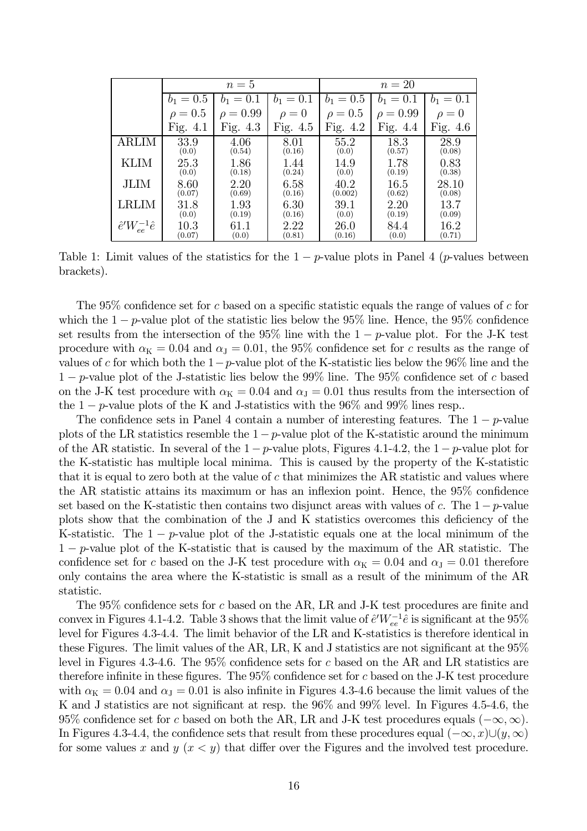|                              | $n=5$        |                      |             | $n=20$       |                      |             |
|------------------------------|--------------|----------------------|-------------|--------------|----------------------|-------------|
|                              | $b_1 = 0.5$  | $b_1 = 0.1$          | $b_1 = 0.1$ | $b_1 = 0.5$  | $b_1 = 0.1$          | $b_1 = 0.1$ |
|                              | $\rho = 0.5$ | $= 0.99$<br>$\Omega$ | $\rho=0$    | $\rho = 0.5$ | $= 0.99$<br>$\Omega$ | $\rho=0$    |
|                              | Fig. $4.1$   | Fig. $4.3$           | Fig. 4.5    | Fig. $4.2$   | Fig. $4.4$           | Fig. 4.6    |
| ARLIM                        | 33.9         | 4.06                 | 8.01        | 55.2         | 18.3                 | 28.9        |
|                              | (0.0)        | (0.54)               | (0.16)      | (0.0)        | (0.57)               | (0.08)      |
| KLIM                         | 25.3         | 1.86                 | 1.44        | 14.9         | 1.78                 | 0.83        |
|                              | (0.0)        | (0.18)               | (0.24)      | (0.0)        | (0.19)               | (0.38)      |
| JLIM                         | 8.60         | 2.20                 | 6.58        | 40.2         | 16.5                 | 28.10       |
|                              | (0.07)       | (0.69)               | (0.16)      | (0.002)      | (0.62)               | (0.08)      |
| LRLIM                        | 31.8         | 1.93                 | 6.30        | $39.1\,$     | 2.20                 | 13.7        |
|                              | (0.0)        | (0.19)               | (0.16)      | (0.0)        | (0.19)               | (0.09)      |
| $\hat{e}'W_{ee}^{-1}\hat{e}$ | $10.3\,$     | 61.1                 | 2.22        | 26.0         | 84.4                 | 16.2        |
|                              | (0.07)       | (0.0)                | (0.81)      | (0.16)       | (0.0)                | (0.71)      |

Table 1: Limit values of the statistics for the  $1-p$ -value plots in Panel 4 (p-values between brackets).

The 95% confidence set for  $c$  based on a specific statistic equals the range of values of  $c$  for which the 1 – p-value plot of the statistic lies below the 95% line. Hence, the 95% confidence set results from the intersection of the 95% line with the  $1-p$ -value plot. For the J-K test procedure with  $\alpha_{\rm K} = 0.04$  and  $\alpha_{\rm J} = 0.01$ , the 95% confidence set for c results as the range of values of c for which both the  $1-p$ -value plot of the K-statistic lies below the 96% line and the  $1-p$ -value plot of the J-statistic lies below the 99% line. The 95% confidence set of c based on the J-K test procedure with  $\alpha_{\rm K} = 0.04$  and  $\alpha_{\rm J} = 0.01$  thus results from the intersection of the 1 – p-value plots of the K and J-statistics with the 96% and 99% lines resp.

The confidence sets in Panel 4 contain a number of interesting features. The  $1-p$ -value plots of the LR statistics resemble the  $1-p$ -value plot of the K-statistic around the minimum of the AR statistic. In several of the  $1-p$ -value plots, Figures 4.1-4.2, the  $1-p$ -value plot for the K-statistic has multiple local minima. This is caused by the property of the K-statistic that it is equal to zero both at the value of  $c$  that minimizes the AR statistic and values where the AR statistic attains its maximum or has an inflexion point. Hence, the 95% confidence set based on the K-statistic then contains two disjunct areas with values of c. The  $1-p$ -value plots show that the combination of the J and K statistics overcomes this deficiency of the K-statistic. The  $1-p$ -value plot of the J-statistic equals one at the local minimum of the  $1-p$ -value plot of the K-statistic that is caused by the maximum of the AR statistic. The confidence set for c based on the J-K test procedure with  $\alpha_K = 0.04$  and  $\alpha_J = 0.01$  therefore only contains the area where the K-statistic is small as a result of the minimum of the AR statistic.

The 95% confidence sets for c based on the AR, LR and J-K test procedures are finite and convex in Figures 4.1-4.2. Table 3 shows that the limit value of  $\hat{e}'W_{ee}^{-1}\hat{e}$  is significant at the 95% level for Figures 4.3-4.4. The limit behavior of the LR and K-statistics is therefore identical in these Figures. The limit values of the AR, LR, K and J statistics are not significant at the  $95\%$ level in Figures 4.3-4.6. The  $95\%$  confidence sets for c based on the AR and LR statistics are therefore infinite in these figures. The  $95\%$  confidence set for c based on the J-K test procedure with  $\alpha_{\rm K} = 0.04$  and  $\alpha_{\rm J} = 0.01$  is also infinite in Figures 4.3-4.6 because the limit values of the K and J statistics are not significant at resp. the 96% and 99% level. In Figures 4.5-4.6, the 95% confidence set for c based on both the AR, LR and J-K test procedures equals  $(-\infty, \infty)$ . In Figures 4.3-4.4, the confidence sets that result from these procedures equal  $(-\infty, x) \cup (y, \infty)$ for some values x and y  $(x < y)$  that differ over the Figures and the involved test procedure.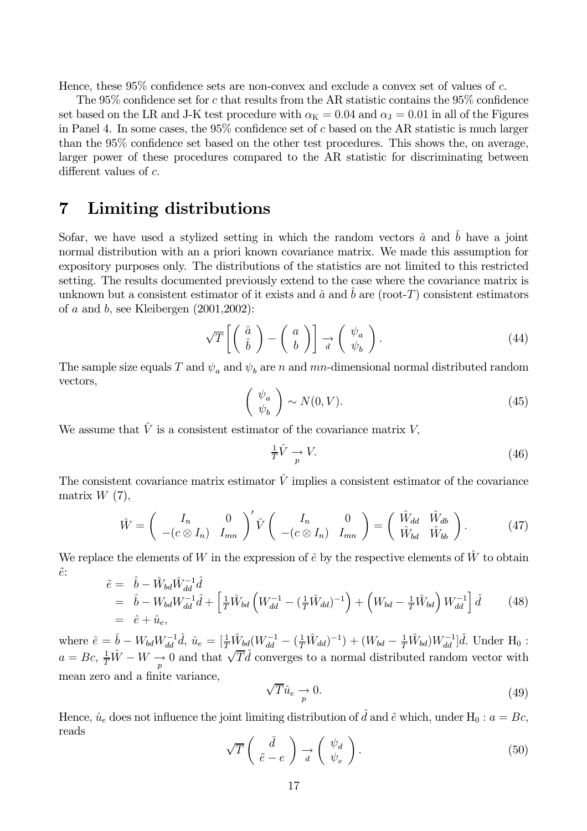Hence, these  $95\%$  confidence sets are non-convex and exclude a convex set of values of c.

The 95% confidence set for c that results from the AR statistic contains the 95% confidence set based on the LR and J-K test procedure with  $\alpha_K = 0.04$  and  $\alpha_I = 0.01$  in all of the Figures in Panel 4. In some cases, the  $95\%$  confidence set of c based on the AR statistic is much larger than the 95% confidence set based on the other test procedures. This shows the, on average, larger power of these procedures compared to the AR statistic for discriminating between different values of  $c$ .

#### $\overline{7}$ Limiting distributions

Sofar, we have used a stylized setting in which the random vectors  $\hat{a}$  and  $\hat{b}$  have a joint normal distribution with an a priori known covariance matrix. We made this assumption for expository purposes only. The distributions of the statistics are not limited to this restricted setting. The results documented previously extend to the case where the covariance matrix is unknown but a consistent estimator of it exists and  $\hat{a}$  and b are (root-T) consistent estimators of  $a$  and  $b$ , see Kleibergen (2001,2002):

$$
\sqrt{T}\left[\left(\begin{array}{c}\hat{a}\\ \hat{b}\end{array}\right)-\left(\begin{array}{c}a\\ b\end{array}\right)\right]\underset{d}{\rightarrow}\left(\begin{array}{c}\psi_a\\ \psi_b\end{array}\right).
$$
\n(44)

The sample size equals T and  $\psi_a$  and  $\psi_b$  are n and mn-dimensional normal distributed random vectors,

$$
\left(\begin{array}{c}\psi_a\\\psi_b\end{array}\right) \sim N(0, V). \tag{45}
$$

We assume that  $\hat{V}$  is a consistent estimator of the covariance matrix V.

$$
\frac{1}{T}\hat{V} \underset{p}{\rightarrow} V. \tag{46}
$$

The consistent covariance matrix estimator  $\hat{V}$  implies a consistent estimator of the covariance matrix  $W(7)$ ,

$$
\hat{W} = \begin{pmatrix} I_n & 0 \\ -(c \otimes I_n) & I_{mn} \end{pmatrix}' \hat{V} \begin{pmatrix} I_n & 0 \\ -(c \otimes I_n) & I_{mn} \end{pmatrix} = \begin{pmatrix} \hat{W}_{dd} & \hat{W}_{db} \\ \hat{W}_{bd} & \hat{W}_{bb} \end{pmatrix}.
$$
 (47)

We replace the elements of W in the expression of  $\hat{e}$  by the respective elements of  $\hat{W}$  to obtain  $\tilde{e}$ :

$$
\begin{aligned}\n\tilde{e} &= b - W_{bd} W_{dd}^{-1} d \\
&= \hat{b} - W_{bd} W_{dd}^{-1} \hat{d} + \left[ \frac{1}{T} \hat{W}_{bd} \left( W_{dd}^{-1} - (\frac{1}{T} \hat{W}_{dd})^{-1} \right) + \left( W_{bd} - \frac{1}{T} \hat{W}_{bd} \right) W_{dd}^{-1} \right] \hat{d} \\
&= \hat{e} + \hat{u}_e,\n\end{aligned} \tag{48}
$$

where  $\hat{e} = \hat{b} - W_{bd} W_{dd}^{-1} \hat{d}, \ \hat{u}_e = [\frac{1}{T} \hat{W}_{bd} (W_{dd}^{-1} - (\frac{1}{T} \hat{W}_{dd})^{-1}) + (W_{bd} - \frac{1}{T} \hat{W}_{bd}) W_{dd}^{-1}] \hat{d}.$  Under  $H_0$ :  $a = Bc$ ,  $\frac{1}{T}\hat{W} - W \rightarrow 0$  and that  $\sqrt{T}\hat{d}$  converges to a normal distributed random vector with mean zero and a finite variance,

$$
\sqrt{T}\hat{u}_e \underset{p}{\rightarrow} 0. \tag{49}
$$

Hence,  $\hat{u}_e$  does not influence the joint limiting distribution of  $\hat{d}$  and  $\tilde{e}$  which, under H<sub>0</sub>:  $a = Bc$ , reads

$$
\sqrt{T}\left(\begin{array}{c}\hat{d} \\ \tilde{e} - e\end{array}\right) \underset{d}{\rightarrow} \left(\begin{array}{c}\psi_d \\ \psi_e\end{array}\right). \tag{50}
$$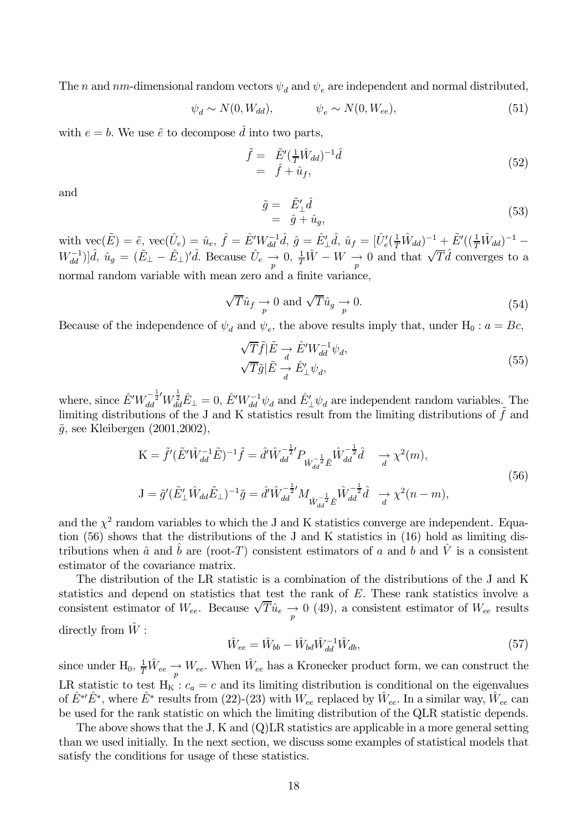The *n* and *nm*-dimensional random vectors  $\psi_d$  and  $\psi_e$  are independent and normal distributed,

$$
\psi_d \sim N(0, W_{dd}), \qquad \psi_e \sim N(0, W_{ee}), \qquad (51)
$$

with  $e = b$ . We use  $\tilde{e}$  to decompose  $\tilde{d}$  into two parts.

$$
\begin{aligned}\n\tilde{f} &= \tilde{E}'(\frac{1}{T}\hat{W}_{dd})^{-1}\hat{d} \\
&= \hat{f} + \hat{u}_f,\n\end{aligned} \tag{52}
$$

and

$$
\begin{array}{rcl}\n\tilde{g} &=& \tilde{E}'_{\perp} \hat{d} \\
&=& \hat{g} + \hat{u}_g,\n\end{array} \tag{53}
$$

with  $\text{vec}(\tilde{E}) = \tilde{e}$ ,  $\text{vec}(\hat{U}_e) = \hat{u}_e$ ,  $\hat{f} = \hat{E}' W_{dd}^{-1} \hat{d}$ ,  $\hat{g} = \hat{E}'_{\perp} \hat{d}$ ,  $\hat{u}_f = [\hat{U}'_e(\frac{1}{T}\hat{W}_{dd})^{-1} + \tilde{E}'((\frac{1}{T}\hat{W}_{dd})^{-1} - \hat{E}'(\frac{1}{T}\hat{W}_{dd})^{-1}]$  $W_{dd}^{-1}$ ] $|\hat{d}, \hat{u}_g = (\tilde{E}_{\perp} - \tilde{E}_{\perp})' \hat{d}$ . Because  $\hat{U}_e \stackrel{...}{\rightarrow} 0$ ,  $\frac{1}{T}\hat{W} - W \stackrel{...}{\rightarrow} 0$  and that  $\sqrt{T}\hat{d}$  converges to a normal random variable with mean zero and a finite variance,

$$
\sqrt{T}\hat{u}_f \underset{p}{\rightarrow} 0 \text{ and } \sqrt{T}\hat{u}_g \underset{p}{\rightarrow} 0. \tag{54}
$$

Because of the independence of  $\psi_d$  and  $\psi_e$ , the above results imply that, under H<sub>0</sub>:  $a = Bc$ ,

$$
\sqrt{T}\tilde{f}|\tilde{E} \to \hat{E}' W_{dd}^{-1} \psi_d, \n\sqrt{T}\tilde{g}|\tilde{E} \to \hat{E}'_{\perp} \psi_d,
$$
\n(55)

where, since  $\hat{E}' W_{dd}^{-\frac{1}{2}} W_{dd}^{\frac{1}{2}} \hat{E}_{\perp} = 0$ ,  $\hat{E}' W_{dd}^{-1} \psi_d$  and  $\hat{E}'_{\perp} \psi_d$  are independent random variables. The limiting distributions of the J and K statistics result from the limiting distributions of  $\tilde{f}$  and  $\tilde{g}$ , see Kleibergen (2001, 2002),

$$
K = \tilde{f}'(\tilde{E}'\hat{W}_{dd}^{-1}\tilde{E})^{-1}\tilde{f} = \hat{d}'\hat{W}_{dd}^{-\frac{1}{2}'}P_{\hat{W}_{dd}^{-\frac{1}{2}}\tilde{E}}\hat{W}_{dd}^{-\frac{1}{2}}\hat{d} \longrightarrow \chi^2(m),
$$
  
\n
$$
J = \tilde{g}'(\tilde{E}'_{\perp}\hat{W}_{dd}\tilde{E}_{\perp})^{-1}\tilde{g} = \hat{d}'\hat{W}_{dd}^{-\frac{1}{2}'}M_{\hat{W}_{dd}^{-\frac{1}{2}}\tilde{E}}\hat{W}_{dd}^{-\frac{1}{2}}\hat{d} \longrightarrow \chi^2(n-m),
$$
\n(56)

and the  $\chi^2$  random variables to which the J and K statistics converge are independent. Equation (56) shows that the distributions of the J and K statistics in (16) hold as limiting distributions when  $\hat{a}$  and b are (root-T) consistent estimators of a and b and  $\hat{V}$  is a consistent estimator of the covariance matrix.

The distribution of the LR statistic is a combination of the distributions of the J and K statistics and depend on statistics that test the rank of  $E$ . These rank statistics involve a consistent estimator of  $W_{ee}$ . Because  $\sqrt{T}\hat{u}_e \rightarrow 0$  (49), a consistent estimator of  $W_{ee}$  results directly from  $\hat{W}$ :

$$
\hat{W}_{ee} = \hat{W}_{bb} - \hat{W}_{bd} \hat{W}_{dd}^{-1} \hat{W}_{db},\tag{57}
$$

since under H<sub>0</sub>,  $\frac{1}{T}\hat{W}_{ee} \to W_{ee}$ . When  $\hat{W}_{ee}$  has a Kronecker product form, we can construct the LR statistic to test  $H_K$ :  $c_a = c$  and its limiting distribution is conditional on the eigenvalues of  $\hat{E}^* \hat{E}^*$ , where  $\hat{E}^*$  results from (22)-(23) with  $W_{ee}$  replaced by  $\hat{W}_{ee}$ . In a similar way,  $\hat{W}_{ee}$  can be used for the rank statistic on which the limiting distribution of the QLR statistic depends.

The above shows that the J, K and  $(Q)LR$  statistics are applicable in a more general setting than we used initially. In the next section, we discuss some examples of statistical models that satisfy the conditions for usage of these statistics.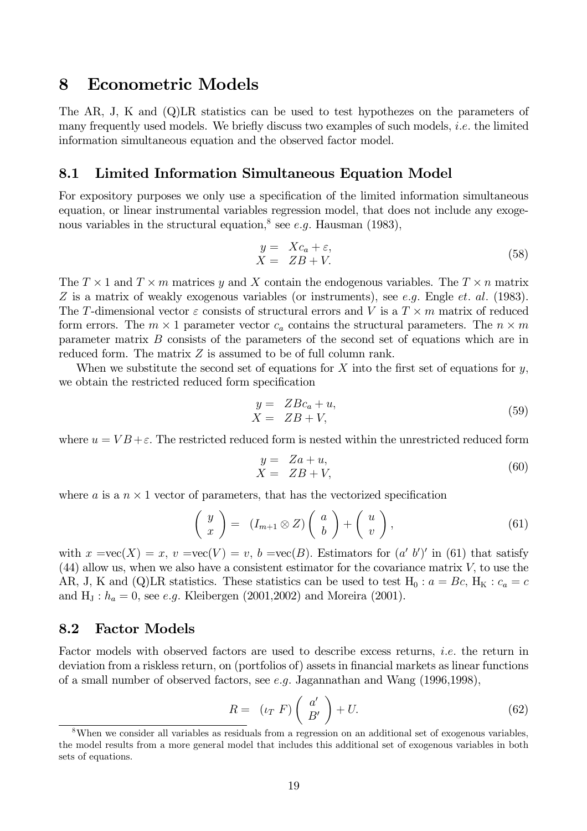#### **Econometric Models** 8

The AR, J, K and (Q)LR statistics can be used to test hypothezes on the parameters of many frequently used models. We briefly discuss two examples of such models, *i.e.* the limited information simultaneous equation and the observed factor model.

#### Limited Information Simultaneous Equation Model 8.1

For expository purposes we only use a specification of the limited information simultaneous equation, or linear instrumental variables regression model, that does not include any exogenous variables in the structural equation,<sup>8</sup> see *e.g.* Hausman (1983),

$$
y = Xc_a + \varepsilon,
$$
  
\n
$$
X = ZB + V.
$$
\n(58)

The  $T \times 1$  and  $T \times m$  matrices y and X contain the endogenous variables. The  $T \times n$  matrix Z is a matrix of weakly exogenous variables (or instruments), see e.g. Engle et. al. (1983). The T-dimensional vector  $\varepsilon$  consists of structural errors and V is a  $T \times m$  matrix of reduced form errors. The  $m \times 1$  parameter vector  $c_a$  contains the structural parameters. The  $n \times m$ parameter matrix  $B$  consists of the parameters of the second set of equations which are in reduced form. The matrix  $Z$  is assumed to be of full column rank.

When we substitute the second set of equations for X into the first set of equations for  $\gamma$ , we obtain the restricted reduced form specification

$$
y = ZBc_a + u,
$$
  
\n
$$
X = ZB + V,
$$
\n(59)

where  $u = VB + \varepsilon$ . The restricted reduced form is nested within the unrestricted reduced form

$$
y = Za + u,
$$
  
\n
$$
X = ZB + V,
$$
\n(60)

where a is a  $n \times 1$  vector of parameters, that has the vectorized specification

$$
\left(\begin{array}{c} y \\ x \end{array}\right) = (I_{m+1} \otimes Z) \left(\begin{array}{c} a \\ b \end{array}\right) + \left(\begin{array}{c} u \\ v \end{array}\right), \tag{61}
$$

with  $x = \text{vec}(X) = x$ ,  $v = \text{vec}(V) = v$ ,  $b = \text{vec}(B)$ . Estimators for  $(a' b')'$  in (61) that satisfy  $(44)$  allow us, when we also have a consistent estimator for the covariance matrix V, to use the AR, J, K and (Q)LR statistics. These statistics can be used to test H<sub>0</sub> :  $a = Bc$ , H<sub>K</sub> :  $c_a = c$ and H<sub>J</sub>:  $h_a = 0$ , see *e.g.* Kleibergen (2001, 2002) and Moreira (2001).

#### 8.2 **Factor Models**

Factor models with observed factors are used to describe excess returns, *i.e.* the return in deviation from a riskless return, on (portfolios of) assets in financial markets as linear functions of a small number of observed factors, see e.g. Jagannathan and Wang  $(1996, 1998)$ ,

$$
R = (\iota_T \ F) \left( \begin{array}{c} a' \\ B' \end{array} \right) + U. \tag{62}
$$

<sup>&</sup>lt;sup>8</sup>When we consider all variables as residuals from a regression on an additional set of exogenous variables, the model results from a more general model that includes this additional set of exogenous variables in both sets of equations.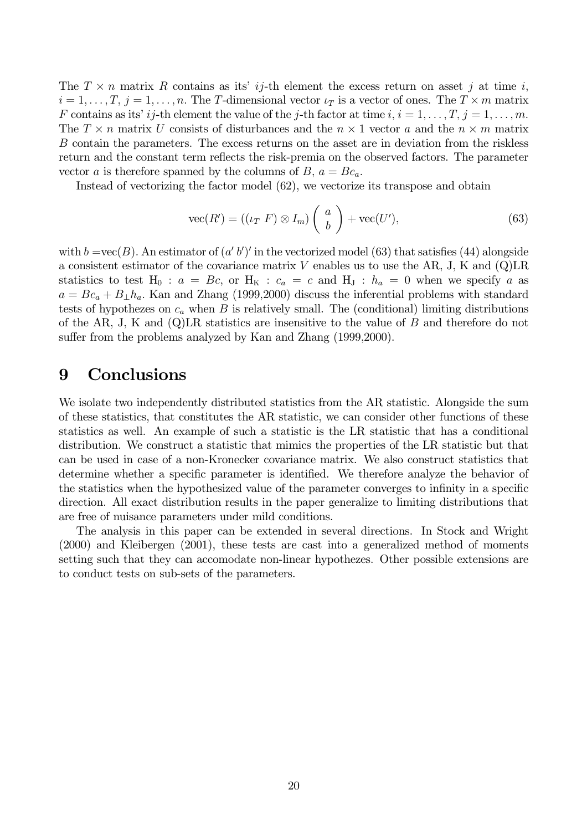The  $T \times n$  matrix R contains as its' ij-th element the excess return on asset j at time i,  $i=1,\ldots,T, j=1,\ldots,n.$  The T-dimensional vector  $\iota_T$  is a vector of ones. The  $T \times m$  matrix F contains as its' *i* j-th element the value of the j-th factor at time *i*,  $i = 1, ..., T$ ,  $j = 1, ..., m$ . The  $T \times n$  matrix U consists of disturbances and the  $n \times 1$  vector a and the  $n \times m$  matrix B contain the parameters. The excess returns on the asset are in deviation from the riskless return and the constant term reflects the risk-premia on the observed factors. The parameter vector a is therefore spanned by the columns of B,  $a = Bc_a$ .

Instead of vectorizing the factor model  $(62)$ , we vectorize its transpose and obtain

$$
\text{vec}(R') = ((\iota_T \ F) \otimes I_m) \left( \begin{array}{c} a \\ b \end{array} \right) + \text{vec}(U'),\tag{63}
$$

with  $b = \text{vec}(B)$ . An estimator of  $(a' b')'$  in the vectorized model (63) that satisfies (44) alongside a consistent estimator of the covariance matrix V enables us to use the AR, J, K and  $(Q)LR$ statistics to test H<sub>0</sub>:  $a = Bc$ , or H<sub>K</sub>:  $c_a = c$  and H<sub>J</sub>:  $h_a = 0$  when we specify a as  $a = Bc_a + B_{\perp}h_a$ . Kan and Zhang (1999,2000) discuss the inferential problems with standard tests of hypothezes on  $c_a$  when B is relatively small. The (conditional) limiting distributions of the AR, J, K and  $(Q)LR$  statistics are insensitive to the value of B and therefore do not suffer from the problems analyzed by Kan and Zhang (1999,2000).

#### 9 **Conclusions**

We isolate two independently distributed statistics from the AR statistic. Alongside the sum of these statistics, that constitutes the AR statistic, we can consider other functions of these statistics as well. An example of such a statistic is the LR statistic that has a conditional distribution. We construct a statistic that mimics the properties of the LR statistic but that can be used in case of a non-Kronecker covariance matrix. We also construct statistics that determine whether a specific parameter is identified. We therefore analyze the behavior of the statistics when the hypothesized value of the parameter converges to infinity in a specific direction. All exact distribution results in the paper generalize to limiting distributions that are free of nuisance parameters under mild conditions.

The analysis in this paper can be extended in several directions. In Stock and Wright  $(2000)$  and Kleibergen  $(2001)$ , these tests are cast into a generalized method of moments setting such that they can accomodate non-linear hypothezes. Other possible extensions are to conduct tests on sub-sets of the parameters.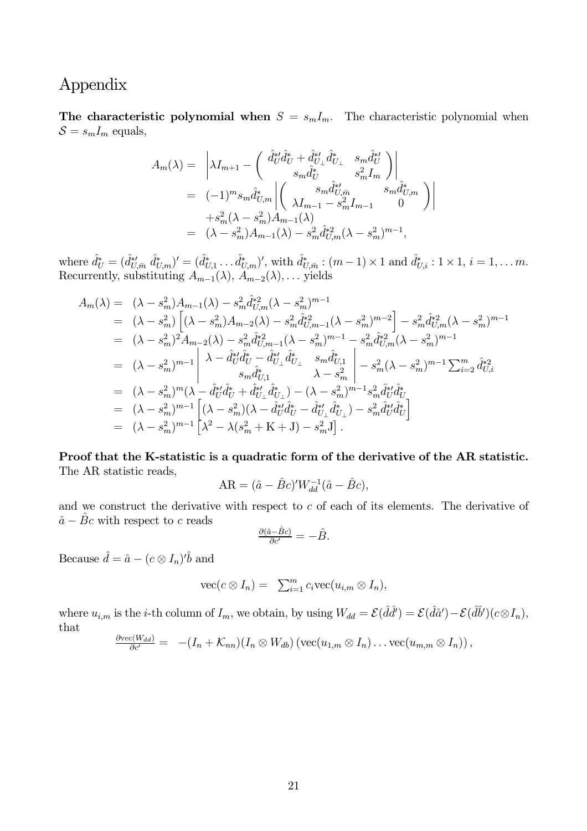# Appendix

The characteristic polynomial when  $S = s_m I_m$ . The characteristic polynomial when  $S = s_m I_m$  equals,

$$
A_m(\lambda) = \left| \lambda I_{m+1} - \left( \begin{array}{cc} \hat{d}_U^{*t} \hat{d}_U^* + \hat{d}_{U_\perp}^{*t} \hat{d}_{U_\perp}^* & s_m \hat{d}_U^{*t} \\ s_m \hat{d}_U^* & s_m^2 I_m \end{array} \right) \right|
$$
  
\n
$$
= (-1)^m s_m \hat{d}_{U,m}^* \left| \left( \begin{array}{cc} s_m \hat{d}_{U,m}^{*t} & s_m \hat{d}_{U,m}^* \\ \lambda I_{m-1} - s_m^2 I_{m-1} & 0 \end{array} \right) \right|
$$
  
\n
$$
+ s_m^2 (\lambda - s_m^2) A_{m-1}(\lambda)
$$
  
\n
$$
= (\lambda - s_m^2) A_{m-1}(\lambda) - s_m^2 \hat{d}_{U,m}^{*2} (\lambda - s_m^2)^{m-1},
$$

where  $\hat{d}_U^* = (\hat{d}_{U,\bar{m}}^{*'} \hat{d}_{U,m}^*)' = (\hat{d}_{U,1}^* \dots \hat{d}_{U,m}^*)'$ , with  $\hat{d}_{U,\bar{m}}^* : (m-1) \times 1$  and  $\hat{d}_{U,i}^* : 1 \times 1, i = 1, \dots m$ .<br>Recurrently, substituting  $A_{m-1}(\lambda), A_{m-2}(\lambda), \dots$  yields

$$
A_m(\lambda) = (\lambda - s_m^2) A_{m-1}(\lambda) - s_m^2 \hat{d}_{U,m}^{*2} (\lambda - s_m^2)^{m-1}
$$
  
\n
$$
= (\lambda - s_m^2) \left[ (\lambda - s_m^2) A_{m-2}(\lambda) - s_m^2 \hat{d}_{U,m-1}^{*2} (\lambda - s_m^2)^{m-2} \right] - s_m^2 \hat{d}_{U,m}^{*2} (\lambda - s_m^2)^{m-1}
$$
  
\n
$$
= (\lambda - s_m^2)^2 A_{m-2}(\lambda) - s_m^2 \hat{d}_{U,m-1}^{*2} (\lambda - s_m^2)^{m-1} - s_m^2 \hat{d}_{U,m}^{*2} (\lambda - s_m^2)^{m-1}
$$
  
\n
$$
= (\lambda - s_m^2)^{m-1} \left[ \lambda - \hat{d}_{U}^{*2} \hat{d}_{U}^{*} - \hat{d}_{U_{\perp}}^{*2} \hat{d}_{U_{\perp}}^{*} - s_m \hat{d}_{U_{\perp}}^{*2} \right] - s_m^2 (\lambda - s_m^2)^{m-1} \sum_{i=2}^m \hat{d}_{U_{\perp}}^{*2}
$$
  
\n
$$
= (\lambda - s_m^2)^m (\lambda - \hat{d}_{U}^{*2} \hat{d}_{U}^{*} + \hat{d}_{U_{\perp}}^{*2} \hat{d}_{U_{\perp}}^{*2}) - (\lambda - s_m^2)^{m-1} s_m^2 \hat{d}_{U}^{*2} \hat{d}_{U_{\perp}}^{*2}
$$
  
\n
$$
= (\lambda - s_m^2)^{m-1} \left[ (\lambda - s_m^2) (\lambda - \hat{d}_{U}^{*2} \hat{d}_{U_{\perp}}^{*} - \hat{d}_{U_{\perp}}^{*2} \hat{d}_{U_{\perp}}^{*2}) - s_m^2 \hat{d}_{U}^{*2} \hat{d}_{U_{\perp}}^{*2} \right]
$$
  
\n
$$
= (\lambda - s_m^2)^{m-1} \left[ \lambda^2 - \lambda (s_m^2 + K + J) - s_m^2 J \right].
$$

Proof that the K-statistic is a quadratic form of the derivative of the AR statistic. The AR statistic reads,

$$
AR = (\hat{a} - \hat{B}c)'W_{dd}^{-1}(\hat{a} - \hat{B}c),
$$

and we construct the derivative with respect to  $c$  of each of its elements. The derivative of  $\hat{a} - \hat{B}c$  with respect to c reads

$$
\frac{\partial(\hat{a}-\hat{B}c)}{\partial c'}=-\hat{B}.
$$

Because  $\hat{d} = \hat{a} - (c \otimes I_n)^t \hat{b}$  and

$$
\operatorname{vec}(c \otimes I_n) = \sum_{i=1}^m c_i \operatorname{vec}(u_{i,m} \otimes I_n),
$$

where  $u_{i,m}$  is the *i*-th column of  $I_m$ , we obtain, by using  $W_{dd} = \mathcal{E}(\hat{d}\hat{d}') = \mathcal{E}(\hat{d}\hat{a}') - \mathcal{E}(\hat{d}\hat{b}')(c \otimes I_n)$ , that

$$
\frac{\partial \text{vec}(W_{dd})}{\partial c'} = - (I_n + \mathcal{K}_{nn})(I_n \otimes W_{db}) (\text{vec}(u_{1,m} \otimes I_n) \dots \text{vec}(u_{m,m} \otimes I_n)),
$$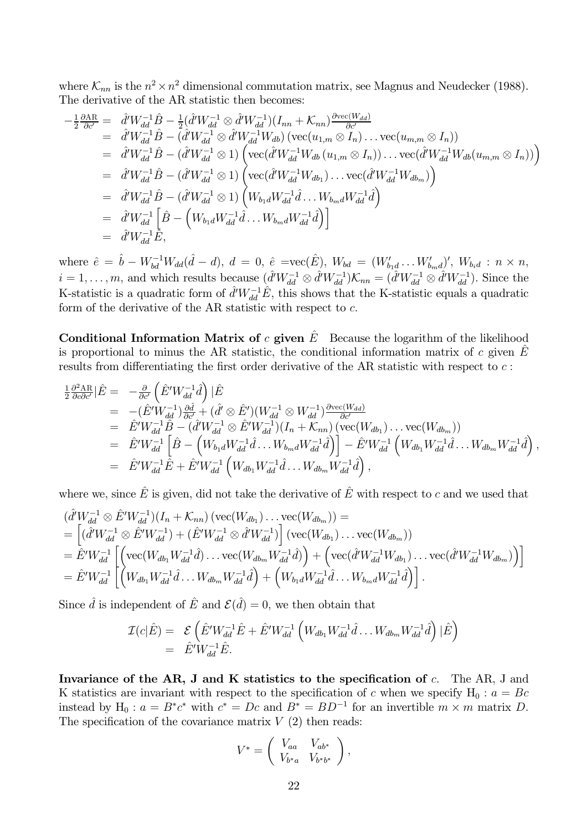where  $\mathcal{K}_{nn}$  is the  $n^2 \times n^2$  dimensional commutation matrix, see Magnus and Neudecker (1988). The derivative of the AR statistic then becomes:

$$
-\frac{1}{2}\frac{\partial \text{AR}}{\partial c'} = \hat{d}'W_{dd}^{-1}\hat{B} - \frac{1}{2}(\hat{d}'W_{dd}^{-1}\otimes \hat{d}'W_{dd}^{-1})(I_{nn} + \mathcal{K}_{nn})\frac{\partial \text{vec}(W_{dd})}{\partial c'}\n= \hat{d}'W_{dd}^{-1}\hat{B} - (\hat{d}'W_{dd}^{-1}\otimes \hat{d}'W_{dd}^{-1}W_{db})(\text{vec}(u_{1,m}\otimes I_n)\dots \text{vec}(u_{m,m}\otimes I_n))\n= \hat{d}'W_{dd}^{-1}\hat{B} - (\hat{d}'W_{dd}^{-1}\otimes 1)\left(\text{vec}(\hat{d}'W_{dd}^{-1}W_{db}(u_{1,m}\otimes I_n))\dots \text{vec}(\hat{d}'W_{dd}^{-1}W_{db}(u_{m,m}\otimes I_n))\right)\n= \hat{d}'W_{dd}^{-1}\hat{B} - (\hat{d}'W_{dd}^{-1}\otimes 1)\left(\text{vec}(\hat{d}'W_{dd}^{-1}W_{db_1})\dots \text{vec}(\hat{d}'W_{dd}^{-1}W_{db_m})\right)\n= \hat{d}'W_{dd}^{-1}\hat{B} - (\hat{d}'W_{dd}^{-1}\otimes 1)\left(W_{b_1d}W_{dd}^{-1}\hat{d}\dots W_{b_md}W_{dd}^{-1}\hat{d}\right)\n= \hat{d}'W_{dd}^{-1}\left[\hat{B} - \left(W_{b_1d}W_{dd}^{-1}\hat{d}\dots W_{b_md}W_{dd}^{-1}\hat{d}\right)\right]\n= \hat{d}'W_{dd}^{-1}\hat{E},
$$

where  $\hat{e} = \hat{b} - W_{bd}^{-1}W_{dd}(\hat{d} - d), d = 0, \hat{e} = \text{vec}(\hat{E}), W_{bd} = (W'_{b_1d} \dots W'_{b_md})', W_{b_id} : n \times n,$  $i=1,\ldots,m$ , and which results because  $(\hat{d}^{\prime}W_{dd}^{-1}\otimes \hat{d}^{\prime}W_{dd}^{-1})\mathcal{K}_{nn}=(\hat{d}^{\prime}W_{dd}^{-1}\otimes \hat{d}^{\prime}W_{dd}^{-1})$ . Since the K-statistic is a quadratic form of  $\hat{d}'W_{dd}^{-1}\hat{E}$ , this shows that the K-statistic equals a quadratic form of the derivative of the AR statistic with respect to  $c$ .

**Conditional Information Matrix of c given**  $\hat{E}$  Because the logarithm of the likelihood is proportional to minus the AR statistic, the conditional information matrix of c given  $\hat{E}$ results from differentiating the first order derivative of the AR statistic with respect to  $c$ :

$$
\begin{split}\n\frac{1}{2} \frac{\partial^2 \text{AR}}{\partial c \partial c'} |\hat{E} &= -\frac{\partial}{\partial c'} \left( \hat{E}' W_{dd}^{-1} \hat{d} \right) |\hat{E} \\
&= -(\hat{E}' W_{dd}^{-1}) \frac{\partial \hat{d}}{\partial c'} + (\hat{d}' \otimes \hat{E}') (W_{dd}^{-1} \otimes W_{dd}^{-1}) \frac{\partial \text{vec}(W_{dd})}{\partial c'} \\
&= \hat{E}' W_{dd}^{-1} \hat{B} - (\hat{d}' W_{dd}^{-1} \otimes \hat{E}' W_{dd}^{-1}) (I_n + \mathcal{K}_{nn}) \left( \text{vec}(W_{db_1}) \dots \text{vec}(W_{db_m}) \right) \\
&= \hat{E}' W_{dd}^{-1} \left[ \hat{B} - \left( W_{b_1 d} W_{dd}^{-1} \hat{d} \dots W_{b_m d} W_{dd}^{-1} \hat{d} \right) \right] - \hat{E}' W_{dd}^{-1} \left( W_{db_1} W_{dd}^{-1} \hat{d} \dots W_{db_m} W_{dd}^{-1} \hat{d} \right) \\
&= \hat{E}' W_{dd}^{-1} \hat{E} + \hat{E}' W_{dd}^{-1} \left( W_{db_1} W_{dd}^{-1} \hat{d} \dots W_{db_m} W_{dd}^{-1} \hat{d} \right),\n\end{split}
$$

where we, since  $\hat{E}$  is given, did not take the derivative of  $\hat{E}$  with respect to c and we used that

$$
\begin{split}\n&(\hat{d}^{l}W_{dd}^{-1}\otimes \hat{E}^{l}W_{dd}^{-1})(I_{n}+\mathcal{K}_{nn})\left(\text{vec}(W_{db_{1}})\dots\text{vec}(W_{db_{m}})\right)=\\
&=\left[(\hat{d}^{l}W_{dd}^{-1}\otimes \hat{E}^{l}W_{dd}^{-1})+(\hat{E}^{l}W_{dd}^{-1}\otimes \hat{d}^{l}W_{dd}^{-1})\right]\left(\text{vec}(W_{db_{1}})\dots\text{vec}(W_{db_{m}})\right)\\
&=\hat{E}^{l}W_{dd}^{-1}\left[\left(\text{vec}(W_{db_{1}}W_{dd}^{-1}\hat{d})\dots\text{vec}(W_{db_{m}}W_{dd}^{-1}\hat{d})\right)+\left(\text{vec}(\hat{d}^{l}W_{dd}^{-1}W_{db_{1}})\dots\text{vec}(\hat{d}^{l}W_{dd}^{-1}W_{db_{m}})\right)\right]\\
&=\hat{E}^{l}W_{dd}^{-1}\left[\left(W_{db_{1}}W_{dd}^{-1}\hat{d}\dots W_{db_{m}}W_{dd}^{-1}\hat{d}\right)+\left(W_{b_{1}d}W_{dd}^{-1}\hat{d}\dots W_{b_{m}d}W_{dd}^{-1}\hat{d}\right)\right].\n\end{split}
$$

Since  $\hat{d}$  is independent of  $\hat{E}$  and  $\mathcal{E}(\hat{d}) = 0$ , we then obtain that

$$
\mathcal{I}(c|\hat{E}) = \mathcal{E}\left(\hat{E}'W_{dd}^{-1}\hat{E} + \hat{E}'W_{dd}^{-1}\left(W_{db_1}W_{dd}^{-1}\hat{d}\dots W_{db_m}W_{dd}^{-1}\hat{d}\right)|\hat{E}\right)
$$
  
=  $\hat{E}'W_{dd}^{-1}\hat{E}$ .

Invariance of the AR, J and K statistics to the specification of  $c$ . The AR, J and K statistics are invariant with respect to the specification of c when we specify  $H_0: a = Bc$ instead by H<sub>0</sub>:  $a = B^*c^*$  with  $c^* = Dc$  and  $B^* = BD^{-1}$  for an invertible  $m \times m$  matrix D. The specification of the covariance matrix  $V(2)$  then reads:

$$
V^* = \left(\begin{array}{cc} V_{aa} & V_{ab^*} \\ V_{b^*a} & V_{b^*b^*} \end{array}\right),
$$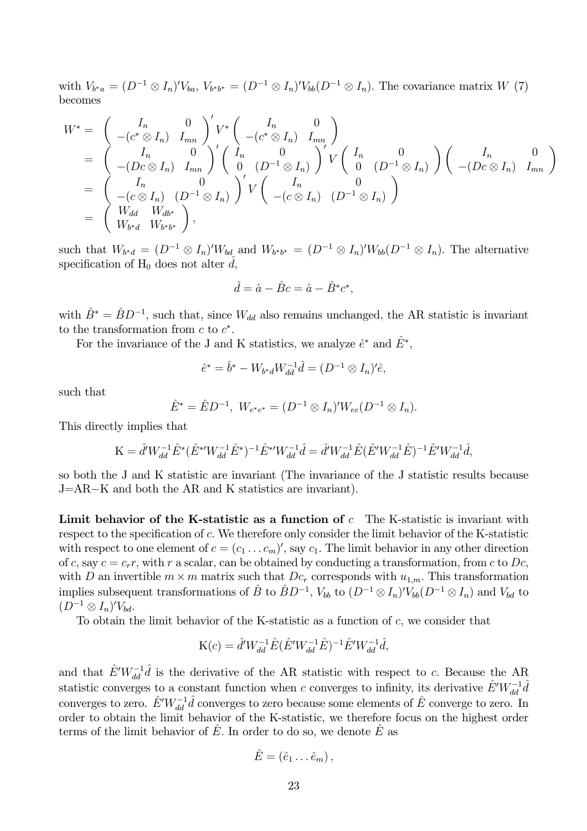with  $V_{b^*a} = (D^{-1} \otimes I_n)' V_{ba}, V_{b^*b^*} = (D^{-1} \otimes I_n)' V_{bb}(D^{-1} \otimes I_n)$ . The covariance matrix W (7) becomes

$$
W^* = \begin{pmatrix} I_n & 0 \\ -(c^* \otimes I_n) & I_{mn} \end{pmatrix}' V^* \begin{pmatrix} I_n & 0 \\ -(c^* \otimes I_n) & I_{mn} \end{pmatrix}
$$
  
= 
$$
\begin{pmatrix} I_n & 0 \\ -(Dc \otimes I_n) & I_{mn} \end{pmatrix}' \begin{pmatrix} I_n & 0 \\ 0 & (D^{-1} \otimes I_n) \end{pmatrix}' V \begin{pmatrix} I_n & 0 \\ 0 & (D^{-1} \otimes I_n) \end{pmatrix} \begin{pmatrix} I_n & 0 \\ -(Dc \otimes I_n) & I_{mn} \end{pmatrix}
$$
  
= 
$$
\begin{pmatrix} I_n & 0 \\ -(c \otimes I_n) & (D^{-1} \otimes I_n) \end{pmatrix}' V \begin{pmatrix} I_n & 0 \\ -(c \otimes I_n) & (D^{-1} \otimes I_n) \end{pmatrix}
$$
  
= 
$$
\begin{pmatrix} W_{dd} & W_{db^*} \\ W_{b^*d} & W_{b^*b^*} \end{pmatrix},
$$

such that  $W_{b*d} = (D^{-1} \otimes I_n)'W_{bd}$  and  $W_{b*b^*} = (D^{-1} \otimes I_n)'W_{bb}(D^{-1} \otimes I_n)$ . The alternative specification of  $H_0$  does not alter d,

$$
\hat{d} = \hat{a} - \hat{B}c = \hat{a} - \hat{B}^*c^*
$$

with  $\hat{B}^* = \hat{B}D^{-1}$ , such that, since  $W_{dd}$  also remains unchanged, the AR statistic is invariant to the transformation from  $c$  to  $c^*$ .

For the invariance of the J and K statistics, we analyze  $\hat{e}^*$  and  $\hat{E}^*$ .

$$
\hat{e}^* = \hat{b}^* - W_{b^*d} W_{dd}^{-1} \hat{d} = (D^{-1} \otimes I_n) \hat{e},
$$

such that

$$
\hat{E}^* = \hat{E}D^{-1}, \ W_{e^*e^*} = (D^{-1} \otimes I_n)' W_{ee}(D^{-1} \otimes I_n).
$$

This directly implies that

$$
\mathbf{K} = \hat{d}^{\prime} W_{dd}^{-1} \hat{E}^* (\hat{E}^{* \prime} W_{dd}^{-1} \hat{E}^*)^{-1} \hat{E}^{* \prime} W_{dd}^{-1} \hat{d} = \hat{d}^{\prime} W_{dd}^{-1} \hat{E} (\hat{E}^{\prime} W_{dd}^{-1} \hat{E})^{-1} \hat{E}^{\prime} W_{dd}^{-1} \hat{d},
$$

so both the J and K statistic are invariant (The invariance of the J statistic results because J=AR-K and both the AR and K statistics are invariant).

Limit behavior of the K-statistic as a function of  $c$  The K-statistic is invariant with respect to the specification of c. We therefore only consider the limit behavior of the K-statistic with respect to one element of  $c = (c_1 \ldots c_m)'$ , say  $c_1$ . The limit behavior in any other direction of c, say  $c = c_r r$ , with r a scalar, can be obtained by conducting a transformation, from c to Dc, with D an invertible  $m \times m$  matrix such that  $Dc_r$  corresponds with  $u_{1,m}$ . This transformation implies subsequent transformations of  $\hat{B}$  to  $\hat{B}D^{-1}$ ,  $V_{bb}$  to  $(D^{-1}\otimes I_n)'V_{bb}(D^{-1}\otimes I_n)$  and  $V_{bd}$  to  $(D^{-1}\otimes I_n)'V_{bd}.$ 

To obtain the limit behavior of the K-statistic as a function of  $c$ , we consider that

$$
K(c) = \hat{d}' W_{dd}^{-1} \hat{E} (\hat{E}' W_{dd}^{-1} \hat{E})^{-1} \hat{E}' W_{dd}^{-1} \hat{d},
$$

and that  $\hat{E}' W_{dd}^{-1} \hat{d}$  is the derivative of the AR statistic with respect to c. Because the AR statistic converges to a constant function when c converges to infinity, its derivative  $\hat{E}'W_{dd}^{-1}\hat{d}$ converges to zero.  $\hat{E}' W_{dd}^{-1} \hat{d}$  converges to zero because some elements of  $\hat{E}$  converge to zero. In order to obtain the limit behavior of the K-statistic, we therefore focus on the highest order terms of the limit behavior of  $\hat{E}$ . In order to do so, we denote  $\hat{E}$  as

$$
\hat{E} = (\hat{e}_1 \dots \hat{e}_m) ,
$$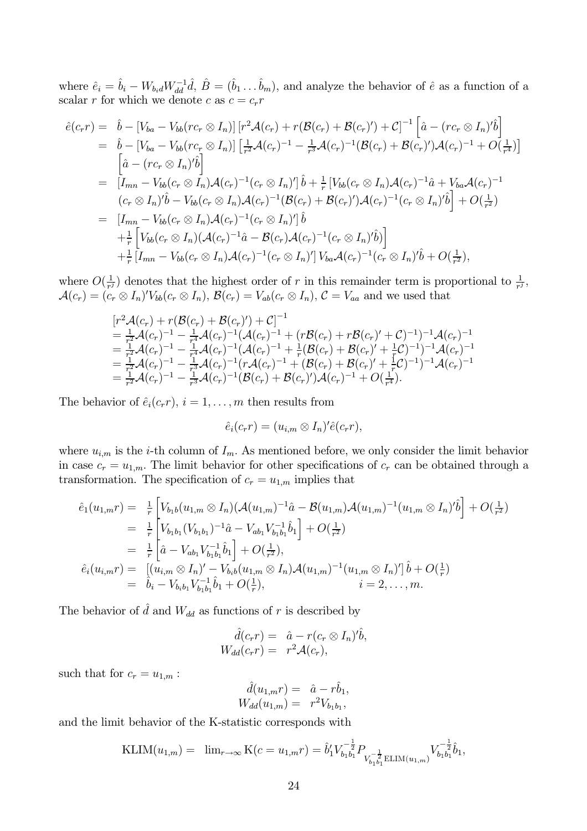where  $\hat{e}_i = \hat{b}_i - W_{b_i d} W_{dd}^{-1} \hat{d}, \ \hat{B} = (\hat{b}_1 \dots \hat{b}_m)$ , and analyze the behavior of  $\hat{e}$  as a function of a scalar r for which we denote c as  $c = c_r r$ 

$$
\hat{e}(c_r r) = \hat{b} - [V_{ba} - V_{bb}(rc_r \otimes I_n)] [r^2 \mathcal{A}(c_r) + r(\mathcal{B}(c_r) + \mathcal{B}(c_r)') + \mathcal{C}]^{-1} [\hat{a} - (rc_r \otimes I_n)'\hat{b}] \n= \hat{b} - [V_{ba} - V_{bb}(rc_r \otimes I_n)] [\frac{1}{r^2} \mathcal{A}(c_r)^{-1} - \frac{1}{r^3} \mathcal{A}(c_r)^{-1} (\mathcal{B}(c_r) + \mathcal{B}(c_r)') \mathcal{A}(c_r)^{-1} + O(\frac{1}{r^4})] \n= [I_{mn} - V_{bb}(c_r \otimes I_n) \mathcal{A}(c_r)^{-1} (c_r \otimes I_n)'] \hat{b} + \frac{1}{r} [V_{bb}(c_r \otimes I_n) \mathcal{A}(c_r)^{-1} \hat{a} + V_{ba} \mathcal{A}(c_r)^{-1} \n(c_r \otimes I_n)'\hat{b} - V_{bb}(c_r \otimes I_n) \mathcal{A}(c_r)^{-1} (\mathcal{B}(c_r) + \mathcal{B}(c_r)') \mathcal{A}(c_r)^{-1} (c_r \otimes I_n)'\hat{b}] + O(\frac{1}{r^2}) \n= [I_{mn} - V_{bb}(c_r \otimes I_n) \mathcal{A}(c_r)^{-1} (c_r \otimes I_n)'] \hat{b} \n+ \frac{1}{r} [V_{bb}(c_r \otimes I_n) (\mathcal{A}(c_r)^{-1} \hat{a} - \mathcal{B}(c_r) \mathcal{A}(c_r)^{-1} (c_r \otimes I_n)'\hat{b})] \n+ \frac{1}{r} [I_{mn} - V_{bb}(c_r \otimes I_n) \mathcal{A}(c_r)^{-1} (c_r \otimes I_n)'] V_{ba} \mathcal{A}(c_r)^{-1} (c_r \otimes I_n)'\hat{b} + O(\frac{1}{r^2}),
$$

where  $O(\frac{1}{r^j})$  denotes that the highest order of r in this remainder term is proportional to  $\frac{1}{r^j}$ ,  $\mathcal{A}(c_r) = (c_r \otimes I_n)'V_{bb}(c_r \otimes I_n), \mathcal{B}(c_r) = V_{ab}(c_r \otimes I_n), \mathcal{C} = V_{aa}$  and we used that

$$
\begin{array}{l} \displaystyle [r^2\mathcal{A}(c_r)+r(\mathcal{B}(c_r)+\mathcal{B}(c_r)')+\mathcal{C}]^{-1} \\ \displaystyle = \tfrac{1}{r^2}\mathcal{A}(c_r)^{-1}-\tfrac{1}{r^4}\mathcal{A}(c_r)^{-1}(\mathcal{A}(c_r)^{-1}+(r\mathcal{B}(c_r)+r\mathcal{B}(c_r)'+\mathcal{C})^{-1})^{-1}\mathcal{A}(c_r)^{-1} \\ \displaystyle = \tfrac{1}{r^2}\mathcal{A}(c_r)^{-1}-\tfrac{1}{r^4}\mathcal{A}(c_r)^{-1}(\mathcal{A}(c_r)^{-1}+\tfrac{1}{r}(\mathcal{B}(c_r)+\mathcal{B}(c_r)'+\tfrac{1}{r}\mathcal{C})^{-1})^{-1}\mathcal{A}(c_r)^{-1} \\ \displaystyle = \tfrac{1}{r^2}\mathcal{A}(c_r)^{-1}-\tfrac{1}{r^3}\mathcal{A}(c_r)^{-1}(r\mathcal{A}(c_r)^{-1}+(\mathcal{B}(c_r)+\mathcal{B}(c_r)'+\tfrac{1}{r}\mathcal{C})^{-1})^{-1}\mathcal{A}(c_r)^{-1} \\ \displaystyle = \tfrac{1}{r^2}\mathcal{A}(c_r)^{-1}-\tfrac{1}{r^3}\mathcal{A}(c_r)^{-1}(\mathcal{B}(c_r)+\mathcal{B}(c_r)')\mathcal{A}(c_r)^{-1}+O(\tfrac{1}{r^4}). \end{array}
$$

The behavior of  $\hat{e}_i(c_r r)$ ,  $i = 1, \ldots, m$  then results from

$$
\hat{e}_i(c_r r) = (u_{i,m} \otimes I_n)' \hat{e}(c_r r),
$$

where  $u_{i,m}$  is the *i*-th column of  $I_m$ . As mentioned before, we only consider the limit behavior in case  $c_r = u_{1,m}$ . The limit behavior for other specifications of  $c_r$  can be obtained through a transformation. The specification of  $c_r = u_{1,m}$  implies that

$$
\hat{e}_{1}(u_{1,m}r) = \frac{1}{r} \left[ V_{b_{1}b}(u_{1,m} \otimes I_{n}) (\mathcal{A}(u_{1,m})^{-1}\hat{a} - \mathcal{B}(u_{1,m}) \mathcal{A}(u_{1,m})^{-1} (u_{1,m} \otimes I_{n})' \hat{b} \right] + O(\frac{1}{r^{2}})
$$
\n
$$
= \frac{1}{r} \left[ V_{b_{1}b_{1}}(V_{b_{1}b_{1}})^{-1}\hat{a} - V_{ab_{1}}V_{b_{1}b_{1}}^{-1}\hat{b}_{1} \right] + O(\frac{1}{r^{2}})
$$
\n
$$
= \frac{1}{r} \left[ \hat{a} - V_{ab_{1}}V_{b_{1}b_{1}}^{-1}\hat{b}_{1} \right] + O(\frac{1}{r^{2}}),
$$
\n
$$
\hat{e}_{i}(u_{i,m}r) = \left[ (u_{i,m} \otimes I_{n})' - V_{b_{i}b}(u_{1,m} \otimes I_{n}) \mathcal{A}(u_{1,m})^{-1}(u_{1,m} \otimes I_{n})' \right] \hat{b} + O(\frac{1}{r})
$$
\n
$$
= \hat{b}_{i} - V_{b_{i}b_{1}}V_{b_{1}b_{1}}^{-1}\hat{b}_{1} + O(\frac{1}{r}), \qquad i = 2, ..., m.
$$

The behavior of  $\hat{d}$  and  $W_{dd}$  as functions of r is described by

$$
\begin{array}{rcl} \hat d(c_r r) &=& \hat a - r(c_r \otimes I_n)'\hat b,\\ W_{dd}(c_r r) &=& r^2 \mathcal{A}(c_r), \end{array}
$$

such that for  $c_r = u_{1,m}$ :

$$
\hat{d}(u_{1,m}r) = \hat{a} - r\hat{b}_1, \nW_{dd}(u_{1,m}) = r^2V_{b_1b_1},
$$

and the limit behavior of the K-statistic corresponds with

$$
\text{KLIM}(u_{1,m}) = \lim_{r \to \infty} \text{K}(c = u_{1,m}r) = \hat{b}'_1 V_{b_1 b_1}^{-\frac{1}{2}} P_{V_{b_1 b_1}^{-\frac{1}{2}} \text{ELIM}(u_{1,m})} V_{b_1 b_1}^{-\frac{1}{2}} \hat{b}_1,
$$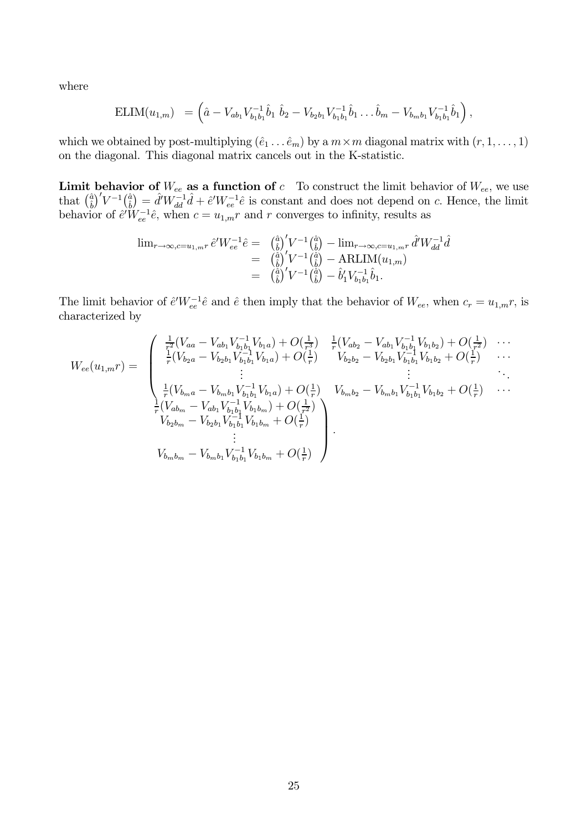where

$$
\text{ELIM}(u_{1,m}) = \left(\hat{a} - V_{ab_1}V_{b_1b_1}^{-1}\hat{b}_1 \ \hat{b}_2 - V_{b_2b_1}V_{b_1b_1}^{-1}\hat{b}_1 \dots \hat{b}_m - V_{b_mb_1}V_{b_1b_1}^{-1}\hat{b}_1\right),
$$

which we obtained by post-multiplying  $(\hat{e}_1 \dots \hat{e}_m)$  by a  $m \times m$  diagonal matrix with  $(r, 1, \dots, 1)$ on the diagonal. This diagonal matrix cancels out in the K-statistic.

**Limit behavior of**  $W_{ee}$  **as a function of**  $c$  To construct the limit behavior of  $W_{ee}$ , we use that  $\left(\frac{\hat{a}}{b}\right)'V^{-1}\left(\frac{\hat{a}}{b}\right) = \hat{d}'W_{dd}^{-1}\hat{d} + \hat{e}'W_{ee}^{-1}\hat{e}$  is constant and does not depend on  $c$ . Hence, t

$$
\begin{array}{rcl}\n\lim_{r \to \infty, c = u_{1,m}r} \hat{e}^{\prime} W_{ee}^{-1} \hat{e} & = & \left(\frac{\hat{a}}{\hat{b}}\right)^{\prime} V^{-1} \left(\frac{\hat{a}}{\hat{b}}\right) - \lim_{r \to \infty, c = u_{1,m}r} \hat{d}^{\prime} W_{dd}^{-1} \hat{d} \\
& = & \left(\frac{\hat{a}}{\hat{b}}\right)^{\prime} V^{-1} \left(\frac{\hat{a}}{\hat{b}}\right) - \text{ARLIM}(u_{1,m}) \\
& = & \left(\frac{\hat{a}}{\hat{b}}\right)^{\prime} V^{-1} \left(\frac{\hat{a}}{\hat{b}}\right) - \hat{b}_1^{\prime} V_{b_1 b_1}^{-1} \hat{b}_1.\n\end{array}
$$

The limit behavior of  $\hat{e}'W_{ee}^{-1}\hat{e}$  and  $\hat{e}$  then imply that the behavior of  $W_{ee}$ , when  $c_r = u_{1,m}r$ , is characterized by

$$
W_{ee}(u_{1,m}r) = \begin{pmatrix} \frac{1}{r^{2}}(V_{aa} - V_{ab_{1}}V_{b_{1}b_{1}}^{-1}V_{b_{1}a}) + O(\frac{1}{r^{3}}) & \frac{1}{r}(V_{ab_{2}} - V_{ab_{1}}V_{b_{1}b_{1}}^{-1}V_{b_{1}b_{2}}) + O(\frac{1}{r^{2}}) & \cdots \\ \frac{1}{r}(V_{b_{2}a} - V_{b_{2}b_{1}}V_{b_{1}b_{1}}^{-1}V_{b_{1}a}) + O(\frac{1}{r}) & V_{b_{2}b_{2}} - V_{b_{2}b_{1}}V_{b_{1}b_{1}}^{-1}V_{b_{1}b_{2}} + O(\frac{1}{r}) & \cdots \\ \vdots & \vdots & \ddots & \vdots \\ \frac{1}{r}(V_{b_{m}a} - V_{b_{m}b_{1}}V_{b_{1}b_{1}}^{-1}V_{b_{1}a}) + O(\frac{1}{r}) & V_{b_{m}b_{2}} - V_{b_{m}b_{1}}V_{b_{1}b_{1}}^{-1}V_{b_{1}b_{2}} + O(\frac{1}{r}) & \cdots \\ \frac{1}{r}(V_{ab_{m}} - V_{ab_{1}}V_{b_{1}b_{1}}^{-1}V_{b_{1}b_{m}}) + O(\frac{1}{r^{2}}) & V_{b_{m}b_{2}} - V_{b_{m}b_{1}}V_{b_{1}b_{1}}^{-1}V_{b_{1}b_{2}} + O(\frac{1}{r}) & \cdots \\ \vdots & \vdots & \ddots & \vdots \\ V_{b_{m}b_{m}} - V_{b_{m}b_{1}}V_{b_{1}b_{1}}^{-1}V_{b_{1}b_{m}} + O(\frac{1}{r}) & \\ \vdots & \vdots & \ddots & \vdots \\ V_{b_{m}b_{m}} - V_{b_{m}b_{1}}V_{b_{1}b_{1}}^{-1}V_{b_{1}b_{m}} + O(\frac{1}{r}) & \cdots \end{pmatrix}
$$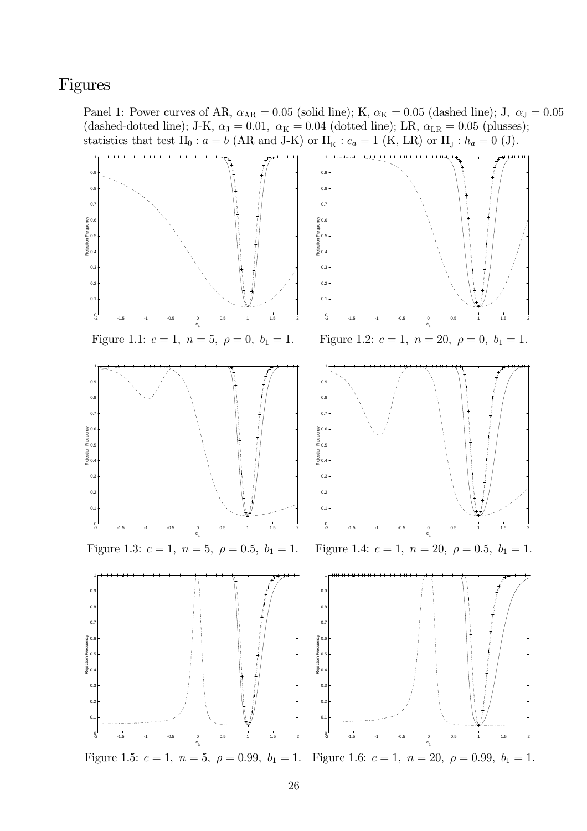# Figures

Panel 1: Power curves of AR,  $\alpha_{\text{AR}} = 0.05$  (solid line); K,  $\alpha_{\text{K}} = 0.05$  (dashed line); J,  $\alpha_{\text{J}} = 0.05$ (dashed-dotted line); J-K,  $\alpha_{\text{J}} = 0.01$ ,  $\alpha_{\text{K}} = 0.04$  (dotted line); LR,  $\alpha_{\text{LR}} = 0.05$  (plusses); statistics that test  $H_0: a = b$  (AR and J-K) or  $H_K: c_a = 1$  (K, LR) or  $H_J: h_a = 0$  (J).

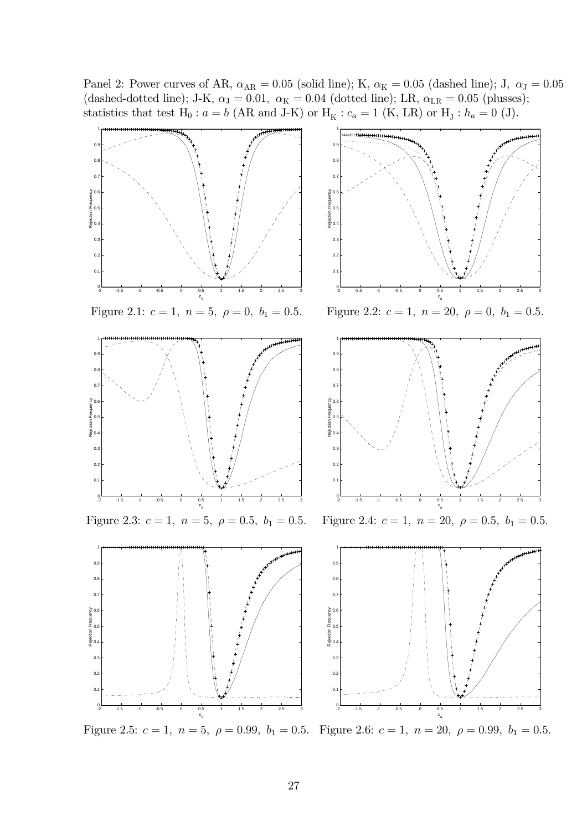Panel 2: Power curves of AR,  $\alpha_{\text{AR}} = 0.05$  (solid line); K,  $\alpha_{\text{K}} = 0.05$  (dashed line); J,  $\alpha_{\text{J}} = 0.05$ (dashed-dotted line); J-K,  $\alpha_{\text{J}} = 0.01$ ,  $\alpha_{\text{K}} = 0.04$  (dotted line); LR,  $\alpha_{\text{LR}} = 0.05$  (plusses); statistics that test  $H_0: a = b$  (AR and J-K) or  $H_K: c_a = 1$  (K, LR) or  $H_J: h_a = 0$  (J).



Figure 2.5:  $c = 1$ ,  $n = 5$ ,  $\rho = 0.99$ ,  $b_1 = 0.5$ . Figure 2.6:  $c = 1$ ,  $n = 20$ ,  $\rho = 0.99$ ,  $b_1 = 0.5$ .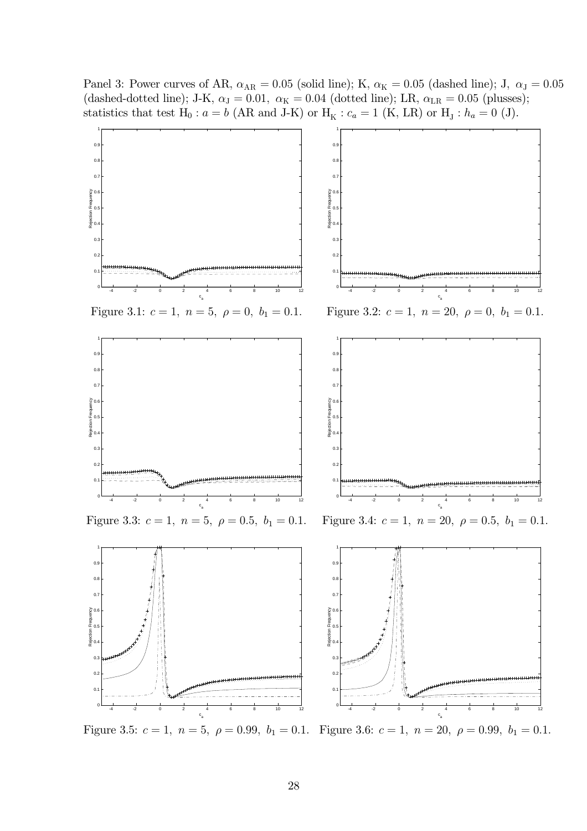Panel 3: Power curves of AR,  $\alpha_{\text{AR}} = 0.05$  (solid line); K,  $\alpha_{\text{K}} = 0.05$  (dashed line); J,  $\alpha_{\text{J}} = 0.05$ (dashed-dotted line); J-K,  $\alpha_{\text{J}} = 0.01$ ,  $\alpha_{\text{K}} = 0.04$  (dotted line); LR,  $\alpha_{\text{LR}} = 0.05$  (plusses); statistics that test  $H_0: a = b$  (AR and J-K) or  $H_K: c_a = 1$  (K, LR) or  $H_J: h_a = 0$  (J).



Figure 3.5:  $c = 1$ ,  $n = 5$ ,  $\rho = 0.99$ ,  $b_1 = 0.1$ . Figure 3.6:  $c = 1$ ,  $n = 20$ ,  $\rho = 0.99$ ,  $b_1 = 0.1$ .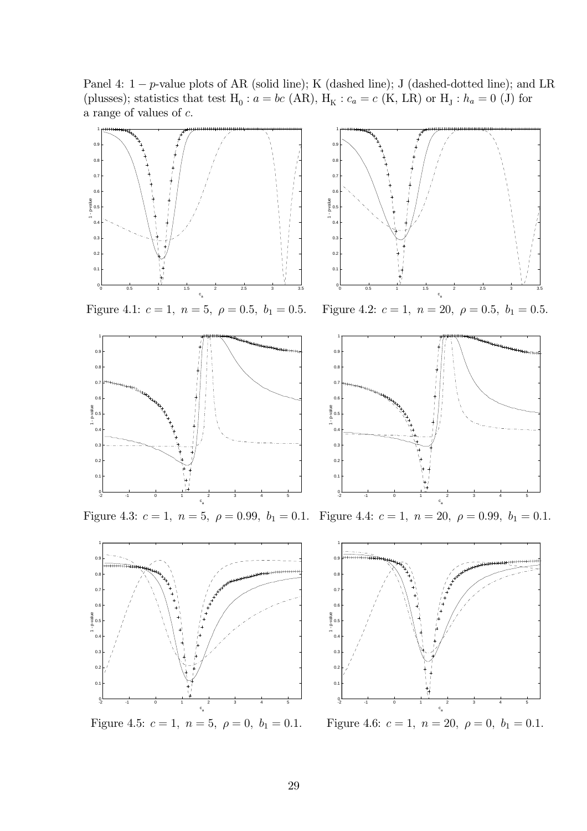Panel 4:  $1 - p$ -value plots of AR (solid line); K (dashed line); J (dashed-dotted line); and LR (plusses); statistics that test  $H_0: a = bc$  (AR),  $H_K: c_a = c$  (K, LR) or  $H_J: h_a = 0$  (J) for a range of values of  $c$ .



Figure 4.3:  $c = 1$ ,  $n = 5$ ,  $\rho = 0.99$ ,  $b_1 = 0.1$ . Figure 4.4:  $c = 1$ ,  $n = 20$ ,  $\rho = 0.99$ ,  $b_1 = 0.1$ .



Figure 4.5:  $c = 1$ ,  $n = 5$ ,  $\rho = 0$ ,  $b_1 = 0.1$ .



: Figure 4.6:  $c = 1$ ,  $n = 20$ ,  $\rho = 0$ ,  $b_1 = 0.1$ .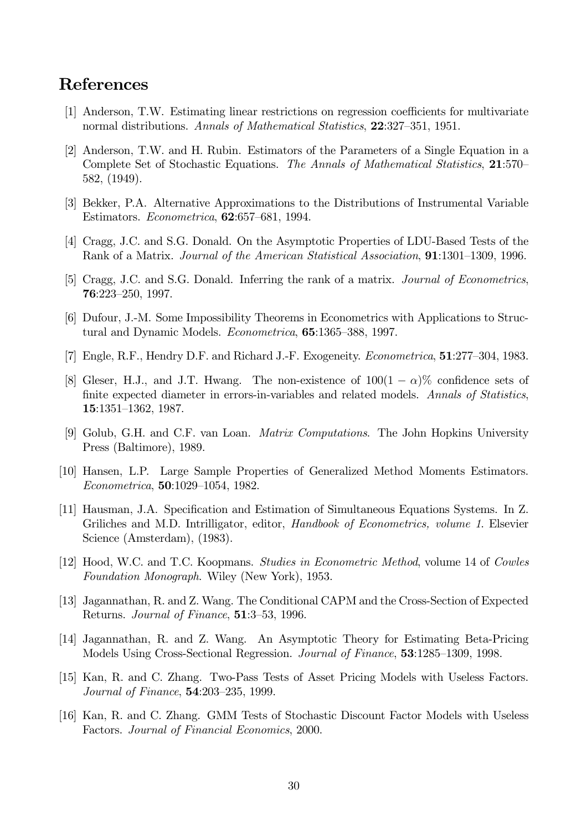## **References**

- [1] Anderson, T.W. Estimating linear restrictions on regression coefficients for multivariate normal distributions. Annals of Mathematical Statistics, 22:327-351, 1951.
- [2] Anderson, T.W. and H. Rubin. Estimators of the Parameters of a Single Equation in a Complete Set of Stochastic Equations. The Annals of Mathematical Statistics, 21:570- $582, (1949).$
- [3] Bekker, P.A. Alternative Approximations to the Distributions of Instrumental Variable Estimators. *Econometrica*, **62**:657–681, 1994.
- [4] Cragg, J.C. and S.G. Donald. On the Asymptotic Properties of LDU-Based Tests of the Rank of a Matrix. Journal of the American Statistical Association, 91:1301-1309, 1996.
- [5] Cragg, J.C. and S.G. Donald. Inferring the rank of a matrix. Journal of Econometrics,  $76:223 - 250, 1997.$
- [6] Dufour, J.-M. Some Impossibility Theorems in Econometrics with Applications to Structural and Dynamic Models. *Econometrica*, **65**:1365–388, 1997.
- [7] Engle, R.F., Hendry D.F. and Richard J.-F. Exogeneity. *Econometrica*, **51**:277–304, 1983.
- [8] Gleser, H.J., and J.T. Hwang. The non-existence of  $100(1 \alpha)\%$  confidence sets of finite expected diameter in errors-in-variables and related models. Annals of Statistics, 15:1351-1362, 1987.
- [9] Golub, G.H. and C.F. van Loan. *Matrix Computations*. The John Hopkins University Press (Baltimore), 1989.
- [10] Hansen, L.P. Large Sample Properties of Generalized Method Moments Estimators. *Econometrica*, **50**:1029-1054, 1982.
- [11] Hausman, J.A. Specification and Estimation of Simultaneous Equations Systems. In Z. Griliches and M.D. Intrilligator, editor, *Handbook of Econometrics*, *volume 1*. Elsevier Science (Amsterdam), (1983).
- [12] Hood, W.C. and T.C. Koopmans. Studies in Econometric Method, volume 14 of Cowles Foundation Monograph. Wiley (New York), 1953.
- [13] Jagannathan, R. and Z. Wang. The Conditional CAPM and the Cross-Section of Expected Returns. Journal of Finance, 51:3-53, 1996.
- [14] Jagannathan, R. and Z. Wang. An Asymptotic Theory for Estimating Beta-Pricing Models Using Cross-Sectional Regression. Journal of Finance, 53:1285-1309, 1998.
- [15] Kan, R. and C. Zhang. Two-Pass Tests of Asset Pricing Models with Useless Factors. Journal of Finance, 54:203-235, 1999.
- [16] Kan, R. and C. Zhang. GMM Tests of Stochastic Discount Factor Models with Useless Factors. Journal of Financial Economics, 2000.